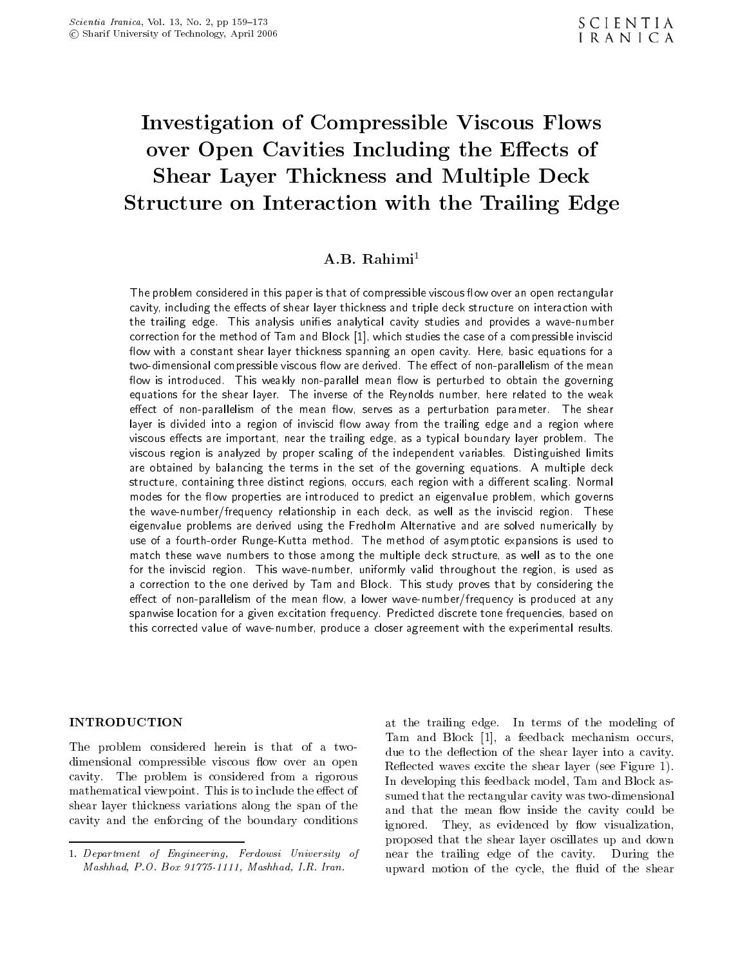## Investigation of Compressible Viscous Flows over Open Cavities Including the Eects of Shear Layer Thickness and Multiple Deck Structure on Interaction with the Trailing Edge

## $A.B.$  Rahimi<sup>1</sup>

The problem considered in this paper is that of compressible viscous flow over an open rectangular cavity, including the effects of shear layer thickness and triple deck structure on interaction with the trailing edge. This analysis unifies analytical cavity studies and provides a wave-number correction for the method of Tam and Block [1], which studies the case of a compressible inviscid flow with a constant shear layer thickness spanning an open cavity. Here, basic equations for a two-dimensional compressible viscous flow are derived. The effect of non-parallelism of the mean flow is introduced. This weakly non-parallel mean flow is perturbed to obtain the governing equations for the shear layer. The inverse of the Reynolds number, here related to the weak effect of non-parallelism of the mean flow, serves as a perturbation parameter. The shear layer is divided into a region of inviscid flow away from the trailing edge and a region where viscous effects are important, near the trailing edge, as a typical boundary layer problem. The viscous region is analyzed by proper scaling of the independent variables. Distinguished limits are obtained by balancing the terms in the set of the governing equations. <sup>A</sup> multiple deck structure, containing three distinct regions, occurs, each region with a different scaling. Normal modes for the flow properties are introduced to predict an eigenvalue problem, which governs the wave-number/frequency relationship in each deck, as well as the inviscid region. These eigenvalue problems are derived using the Fredholm Alternative and are solved numerically by use of <sup>a</sup> fourth-order Runge-Kutta method. The method of asymptotic expansions is used to match these wave numbers to those among the multiple deck structure, as well as to the one for the inviscid region. This wave-number, uniformly valid throughout the region, is used as <sup>a</sup> correction to the one derived by Tam and Block. This study proves that by considering the effect of non-parallelism of the mean flow, a lower wave-number/frequency is produced at any spanwise location for a given excitation frequency. Predicted discrete tone frequencies, based on this corrected value of wave-number, produce a closer agreement with the experimental results.

### INTRODUCTION

The problem considered herein is that of <sup>a</sup> twodimensional compressible viscous flow over an open cavity. The problem is considered from <sup>a</sup> rigorous mathematical viewpoint. This is to include the effect of shear layer thickness variations along the span of the cavity and the enforcing of the boundary conditions

at the trailing edge. In terms of the modeling of Tam and Block [1], <sup>a</sup> feedback mechanism occurs, due to the deflection of the shear layer into a cavity. Reflected waves excite the shear layer (see Figure 1). In developing this feedback model, Tam and Block assumed that the rectangular cavity was two-dimensional and that the mean flow inside the cavity could be They, as evidenced by flow visualization, proposed that the shear layer oscillates up and down near the trailing edge of the cavity. During the upward motion of the cycle, the fluid of the shear

<sup>1.</sup> Department of Engineering, Ferdowsi University of Mashhad, P.O. Box 91775-1111, Mashhad, I.R. Iran.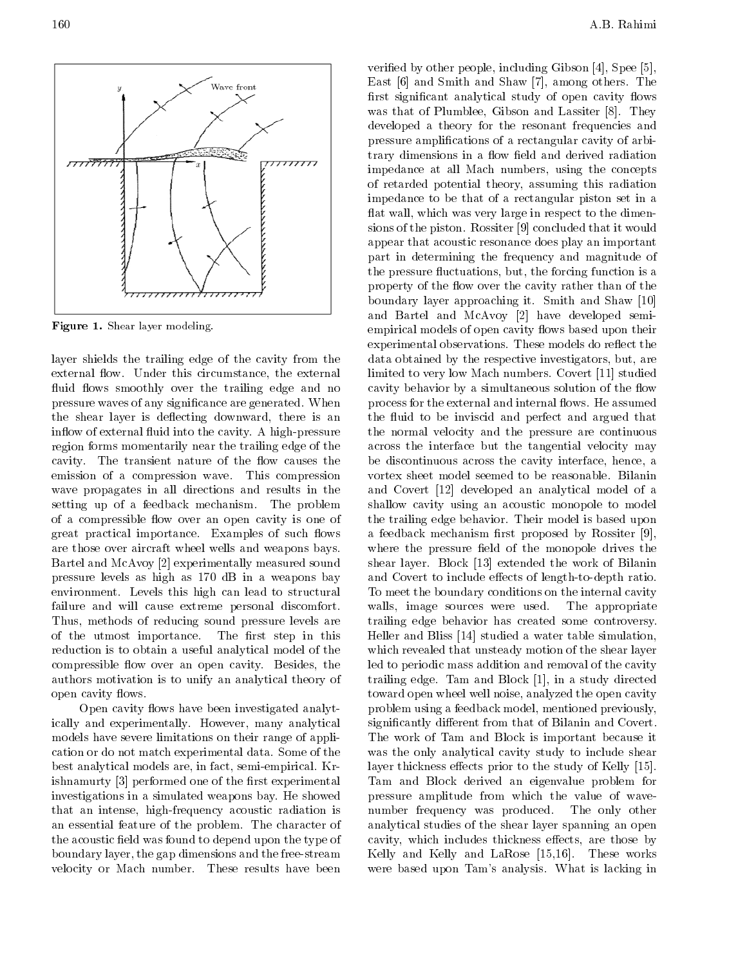Figure 1. Shear layer modeling. layer shields the trailing edge of the cavity from the external flow. Under this circumstance, the external fluid flows smoothly over the trailing edge and no pressure waves of any signicance are generated. When the shear layer is deflecting downward, there is an inflow of external fluid into the cavity. A high-pressure region forms momentarily near the trailing edge of the cavity. The transient nature of the flow causes the emission of <sup>a</sup> compression wave. This compression wave propagates in all directions and results in the setting up of <sup>a</sup> feedback mechanism. The problem of a compressible flow over an open cavity is one of great practical importance. Examples of such flows are those over aircraft wheel wells and weapons bays. Bartel and McAvoy [2] experimentally measured sound pressure levels as high as <sup>170</sup> dB in <sup>a</sup> weapons bay environment. Levels this high can lead to structural failure and will cause extreme personal discomfort. Thus, methods of reducing sound pressure levels are of the utmost importance. The first step in this reduction is to obtain a useful analytical model of the compressible flow over an open cavity. Besides, the authors motivation is to unify an analytical theory of open cavity flows.

Open cavity flows have been investigated analytically and experimentally. However, many analytical models have severe limitations on their range of application or do not match experimental data. Some of the best analytical models are, in fact, semi-empirical. Krishnamurty [3] performed one of the first experimental investigations in a simulated weapons bay. He showed that an intense, high-frequency acoustic radiation is an essential feature of the problem. The character of the acoustic field was found to depend upon the type of boundary layer, the gap dimensions and the free-stream velocity or Mach number. These results have been

veried by other people, including Gibson [4], Spee [5], East [6] and Smith and Shaw [7], among others. The first significant analytical study of open cavity flows was that of Plumblee, Gibson and Lassiter [8]. They developed <sup>a</sup> theory for the resonant frequencies and pressure amplications of a rectangular cavity of arbitrary dimensions in a flow field and derived radiation impedance at all Mach numbers, using the concepts of retarded potential theory, assuming this radiation impedance to be that of a rectangular piston set in <sup>a</sup> flat wall, which was very large in respect to the dimensions of the piston. Rossiter [9] concluded that it would appear that acoustic resonance does play an important part in determining the frequency and magnitude of the pressure fluctuations, but, the forcing function is a property of the flow over the cavity rather than of the boundary layer approaching it. Smith and Shaw [10] and Bartel and McAvoy [2] have developed semiempirical models of open cavity flows based upon their experimental observations. These models do reflect the data obtained by the respective investigators, but, are limited to very low Mach numbers. Covert [11] studied cavity behavior by a simultaneous solution of the flow process for the external and internal flows. He assumed the fluid to be inviscid and perfect and argued that the normal velocity and the pressure are continuous across the interface but the tangential velocity may be discontinuous across the cavity interface, hence, <sup>a</sup> vortex sheet model seemed to be reasonable. Bilanin and Covert [12] developed an analytical model of <sup>a</sup> shallow cavity using an acoustic monopole to model the trailing edge behavior. Their model is based upon a feedback mechanism first proposed by Rossiter [9], where the pressure field of the monopole drives the shear layer. Block [13] extended the work of Bilanin and Covert to include effects of length-to-depth ratio. To meet the boundary conditions on the internal cavity walls, image sources were used. The appropriate trailing edge behavior has created some controversy. Heller and Bliss [14] studied a water table simulation, which revealed that unsteady motion of the shear layer led to periodic mass addition and removal of the cavity trailing edge. Tam and Block [1], in a study directed toward open wheel well noise, analyzed the open cavity problem using a feedback model, mentioned previously, significantly different from that of Bilanin and Covert. The work of Tam and Block is important because it was the only analytical cavity study to include shear layer thickness effects prior to the study of Kelly [15]. Tam and Block derived an eigenvalue problem for pressure amplitude from which the value of wavenumber frequency was produced. The only other analytical studies of the shear layer spanning an open cavity, which includes thickness effects, are those by Kelly and Kelly and LaRose [15,16]. These works were based upon Tam's analysis. What is lacking in

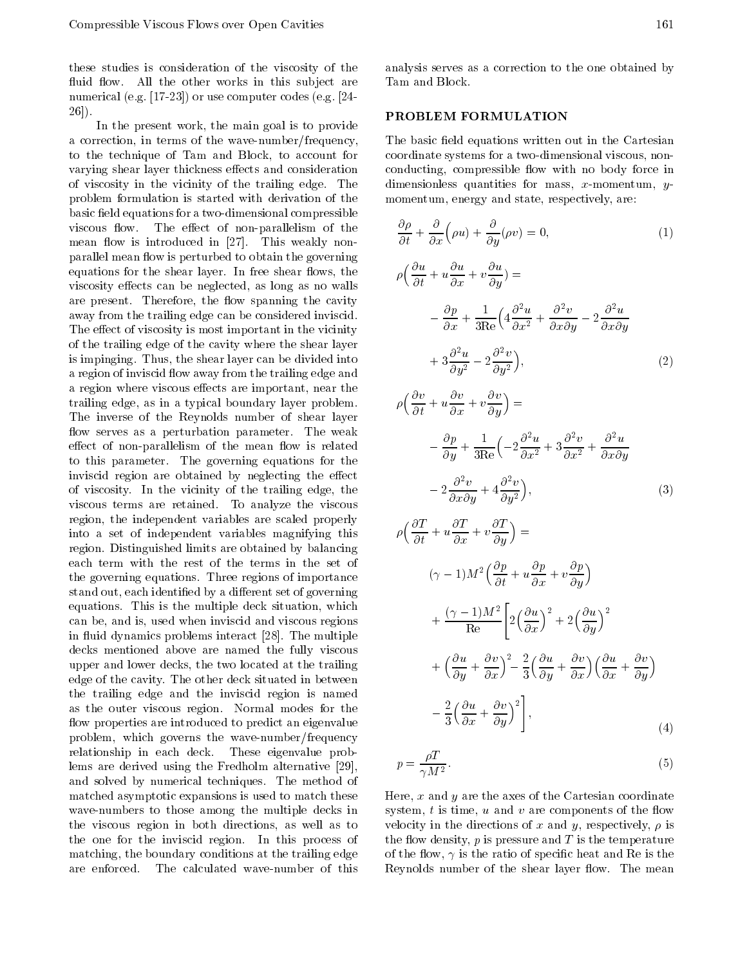these studies is consideration of the viscosity of the fluid flow. All the other works in this subject are numerical (e.g. [17-23]) or use computer codes (e.g. [24- 26]).

In the present work, the main goal is to provide <sup>a</sup> correction, in terms of the wave-number/frequency, to the technique of Tam and Block, to account for varying shear layer thickness effects and consideration of viscosity in the vicinity of the trailing edge. The problem formulation is started with derivation of the basic field equations for a two-dimensional compressible viscous flow. The effect of non-parallelism of the mean flow is introduced in  $[27]$ . This weakly nonparallel mean flow is perturbed to obtain the governing equations for the shear layer. In free shear flows, the viscosity effects can be neglected, as long as no walls are present. Therefore, the flow spanning the cavity away from the trailing edge can be considered inviscid. The effect of viscosity is most important in the vicinity of the trailing edge of the cavity where the shear layer is impinging. Thus, the shear layer can be divided into a region of inviscid flow away from the trailing edge and a region where viscous effects are important, near the trailing edge, as in a typical boundary layer problem. The inverse of the Reynolds number of shear layer flow serves as a perturbation parameter. The weak effect of non-parallelism of the mean flow is related to this parameter. The governing equations for the inviscid region are obtained by neglecting the effect of viscosity. In the vicinity of the trailing edge, the viscous terms are retained. To analyze the viscous region, the independent variables are scaled properly into <sup>a</sup> set of independent variables magnifying this region. Distinguished limits are obtained by balancing each term with the rest of the terms in the set of the governing equations. Three regions of importance stand out, each identified by a different set of governing equations. This is the multiple deck situation, which can be, and is, used when inviscid and viscous regions in fluid dynamics problems interact [28]. The multiple decks mentioned above are named the fully viscous upper and lower decks, the two located at the trailing edge of the cavity. The other deck situated in between the trailing edge and the inviscid region is named as the outer viscous region. Normal modes for the flow properties are introduced to predict an eigenvalue problem, which governs the wave-number/frequency relationship in each deck. These eigenvalue problems are derived using the Fredholm alternative [29], and solved by numerical techniques. The method of matched asymptotic expansions is used to match these wave-numbers to those among the multiple decks in the viscous region in both directions, as well as to the one for the inviscid region. In this process of matching, the boundary conditions at the trailing edge are enforced. The calculated wave-number of this

## PROBLEM FORMULATION

The basic field equations written out in the Cartesian coordinate systems for a two-dimensional viscous, nonconducting, compressible flow with no body force in dimensionless quantities for mass, x-momentum, y momentum, energy and state, respectively, are:

$$
\frac{\partial \rho}{\partial t} + \frac{\partial}{\partial x} \left( \rho u \right) + \frac{\partial}{\partial y} \left( \rho v \right) = 0, \tag{1}
$$

$$
\rho \left( \frac{\partial u}{\partial t} + u \frac{\partial u}{\partial x} + v \frac{\partial u}{\partial y} \right) =
$$
\n
$$
\frac{\partial p}{\partial x} + \frac{1}{3 \text{Re}} \left( 4 \frac{\partial^2 u}{\partial x^2} + \frac{\partial^2 v}{\partial x \partial y} \right) \frac{\partial^2 u}{\partial x \partial y}
$$
\n
$$
+ 3 \frac{\partial^2 u}{\partial y^2} \left( 2 \frac{\partial^2 v}{\partial y^2} \right), \tag{2}
$$

$$
\rho \left( \frac{\partial v}{\partial t} + u \frac{\partial v}{\partial x} + v \frac{\partial v}{\partial y} \right) =
$$
\n
$$
\frac{\partial p}{\partial y} + \frac{1}{3 \text{Re}} \left( 2 \frac{\partial^2 u}{\partial x^2} + 3 \frac{\partial^2 v}{\partial x^2} + \frac{\partial^2 u}{\partial x \partial y} \right)
$$
\n
$$
2 \frac{\partial^2 v}{\partial x \partial y} + 4 \frac{\partial^2 v}{\partial y^2} \Big), \tag{3}
$$

$$
\rho \left( \frac{\partial T}{\partial t} + u \frac{\partial T}{\partial x} + v \frac{\partial T}{\partial y} \right) =
$$
\n
$$
(\gamma - 1)M^2 \left( \frac{\partial p}{\partial t} + u \frac{\partial p}{\partial x} + v \frac{\partial p}{\partial y} \right)
$$
\n
$$
+ \frac{(\gamma - 1)M^2}{\text{Re}} \left[ 2\left( \frac{\partial u}{\partial x} \right)^2 + 2\left( \frac{\partial u}{\partial y} \right)^2 \right]
$$
\n
$$
+ \left( \frac{\partial u}{\partial y} + \frac{\partial v}{\partial x} \right)^2 \frac{2}{3} \left( \frac{\partial u}{\partial y} + \frac{\partial v}{\partial x} \right) \left( \frac{\partial u}{\partial x} + \frac{\partial v}{\partial y} \right)
$$
\n
$$
\frac{2}{3} \left( \frac{\partial u}{\partial x} + \frac{\partial v}{\partial y} \right)^2 \bigg], \tag{4}
$$

$$
p = \frac{\rho T}{\gamma M^2}.\tag{5}
$$

Here,  $x$  and  $y$  are the axes of the Cartesian coordinate system,  $t$  is time,  $u$  and  $v$  are components of the flow velocity in the directions of x and y, respectively,  $\rho$  is the flow density,  $p$  is pressure and  $T$  is the temperature of the flow,  $\gamma$  is the ratio of specific heat and Re is the Reynolds number of the shear layer flow. The mean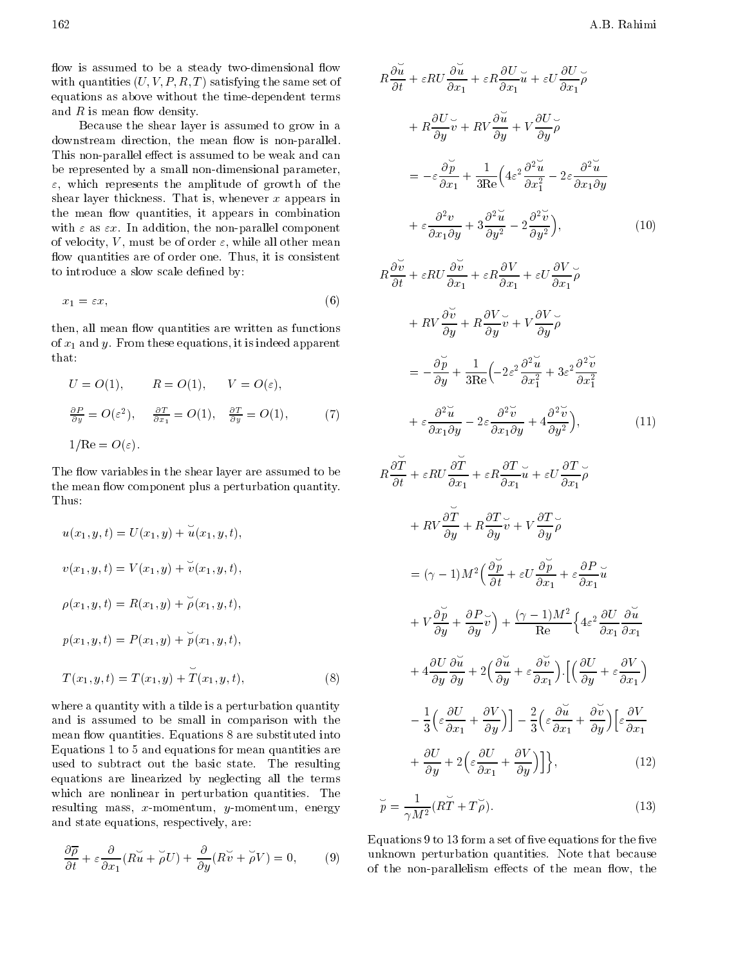flow is assumed to be a steady two-dimensional flow with quantities  $(U, V, P, R, T)$  satisfying the same set of equations as above without the time-dependent terms and  $R$  is mean flow density.

Because the shear layer is assumed to grow in <sup>a</sup> downstream direction, the mean flow is non-parallel. This non-parallel effect is assumed to be weak and can be represented by a small non-dimensional parameter,  $\varepsilon$ , which represents the amplitude of growth of the shear layer thickness. That is, whenever  $x$  appears in the mean flow quantities, it appears in combination with  $\varepsilon$  as  $\varepsilon x$ . In addition, the non-parallel component of velocity, V, must be of order  $\varepsilon$ , while all other mean flow quantities are of order one. Thus, it is consistent to introduce a slow scale defined by:

$$
x_1 = \varepsilon x,\tag{6}
$$

then, all mean flow quantities are written as functions of  $x_1$  and y. From these equations, it is indeed apparent that:

$$
U = O(1), \qquad R = O(1), \qquad V = O(\varepsilon),
$$
  
\n
$$
\frac{\partial P}{\partial y} = O(\varepsilon^2), \qquad \frac{\partial T}{\partial x_1} = O(1), \qquad \frac{\partial T}{\partial y} = O(1), \qquad (7)
$$
  
\n
$$
1/Re = O(\varepsilon).
$$

The flow variables in the shear layer are assumed to be  $\overline{a}$ the mean flow component plus a perturbation quantity. Thus:

$$
u(x_1, y, t) = U(x_1, y) + \breve{u}(x_1, y, t),
$$
  
\n
$$
v(x_1, y, t) = V(x_1, y) + \breve{v}(x_1, y, t),
$$
  
\n
$$
\rho(x_1, y, t) = R(x_1, y) + \breve{\rho}(x_1, y, t),
$$
  
\n
$$
p(x_1, y, t) = P(x_1, y) + \breve{p}(x_1, y, t),
$$
  
\n
$$
T(x_1, y, t) = T(x_1, y) + \breve{T}(x_1, y, t),
$$
\n(8)

where a quantity with a tilde is a perturbation quantity and is assumed to be small in comparison with the mean flow quantities. Equations 8 are substituted into Equations 1 to 5 and equations for mean quantities are used to subtract out the basic state. The resulting equations are linearized by neglecting all the terms which are nonlinear in perturbation quantities. The resulting mass,  $x$ -momentum,  $y$ -momentum, energy and state equations, respectively, are:

$$
\frac{\partial \overline{\rho}}{\partial t} + \varepsilon \frac{\partial}{\partial x_1} (R\breve{u} + \breve{\rho}U) + \frac{\partial}{\partial y} (R\breve{v} + \breve{\rho}V) = 0, \qquad (9) \qquad \frac{\partial \overline{\rho}}{\partial y_0} = 0
$$

$$
R\frac{\partial u}{\partial t} + \varepsilon RU\frac{\partial u}{\partial x_1} + \varepsilon R \frac{\partial U}{\partial x_1} \widetilde{u} + \varepsilon U \frac{\partial U}{\partial x_1} \widetilde{\rho}
$$
  
+ 
$$
R\frac{\partial U}{\partial y} \widetilde{v} + RV \frac{\partial \widetilde{u}}{\partial y} + V \frac{\partial U}{\partial y} \widetilde{\rho}
$$
  
= 
$$
\varepsilon \frac{\partial \widetilde{p}}{\partial x_1} + \frac{1}{3\text{Re}} \left( 4\varepsilon^2 \frac{\partial^2 \widetilde{u}}{\partial x_1^2} + 2\varepsilon \frac{\partial^2 \widetilde{u}}{\partial x_1 \partial y} + \varepsilon \frac{\partial^2 v}{\partial x_1 \partial y} + 3 \frac{\partial^2 \widetilde{u}}{\partial y^2} + 3 \frac{\partial^2 \widetilde{v}}{\partial y^2} + 3 \frac{\partial^2 \widetilde{v}}{\partial y^2} + 2 \frac{\partial^2 \widetilde{v}}{\partial y^2}, \qquad (10)
$$

k.

$$
R\frac{\partial \breve{v}}{\partial t} + \varepsilon R U \frac{\partial \breve{v}}{\partial x_1} + \varepsilon R \frac{\partial V}{\partial x_1} + \varepsilon U \frac{\partial V}{\partial x_1} \breve{\rho}
$$
  
+ 
$$
R V \frac{\partial \breve{v}}{\partial y} + R \frac{\partial V}{\partial y} \breve{v} + V \frac{\partial V}{\partial y} \breve{\rho}
$$
  
= 
$$
\frac{\partial \breve{p}}{\partial y} + \frac{1}{3 \text{Re}} \left( 2\varepsilon^2 \frac{\partial^2 \breve{u}}{\partial x_1^2} + 3\varepsilon^2 \frac{\partial^2 \breve{v}}{\partial x_1^2} + \varepsilon \frac{\partial^2 \breve{v}}{\partial x_1 \partial y} + \varepsilon \frac{\partial^2 \breve{v}}{\partial x_1 \partial y} + 4 \frac{\partial^2 \breve{v}}{\partial y^2} \right), \tag{11}
$$

$$
R\frac{\partial T}{\partial t} + \varepsilon RU\frac{\partial T}{\partial x_1} + \varepsilon R\frac{\partial T}{\partial x_1}\tilde{u} + \varepsilon U\frac{\partial T}{\partial x_1}\tilde{\rho}
$$
  
+ 
$$
RV\frac{\partial T}{\partial y} + R\frac{\partial T}{\partial y}\tilde{v} + V\frac{\partial T}{\partial y}\tilde{\rho}
$$
  
= 
$$
(\gamma - 1)M^2 \left(\frac{\partial \tilde{p}}{\partial t} + \varepsilon U\frac{\partial \tilde{p}}{\partial x_1} + \varepsilon \frac{\partial P}{\partial x_1}\tilde{u} + V\frac{\partial \tilde{p}}{\partial y} + \frac{\partial P}{\partial y}\tilde{v}\right) + \frac{(\gamma - 1)M^2}{\text{Re}} \left\{4\varepsilon^2 \frac{\partial U}{\partial x_1}\frac{\partial \tilde{u}}{\partial x_1} + 4\frac{\partial U}{\partial y}\frac{\partial \tilde{u}}{\partial y} + 2\left(\frac{\partial \tilde{u}}{\partial y} + \varepsilon \frac{\partial \tilde{v}}{\partial x_1}\right) \cdot \left[\left(\frac{\partial U}{\partial y} + \varepsilon \frac{\partial V}{\partial x_1}\right) + \frac{1}{3}\left(\varepsilon \frac{\partial U}{\partial x_1} + \frac{\partial V}{\partial y}\right)\right] - \frac{2}{3}\left(\varepsilon \frac{\partial \tilde{u}}{\partial x_1} + \frac{\partial \tilde{v}}{\partial y}\right) \left[\varepsilon \frac{\partial V}{\partial x_1} + \frac{\partial U}{\partial y} + 2\left(\varepsilon \frac{\partial U}{\partial x_1} + \frac{\partial V}{\partial y}\right)\right]\right\}, \qquad (12)
$$

$$
\stackrel{\sim}{p} = \frac{1}{\gamma M^2} (R\stackrel{\sim}{T} + T\stackrel{\sim}{\rho}).
$$
\n(13)

Equations 9 to  $13$  form a set of five equations for the five unknown perturbation quantities. Note that because of the non-parallelism effects of the mean flow, the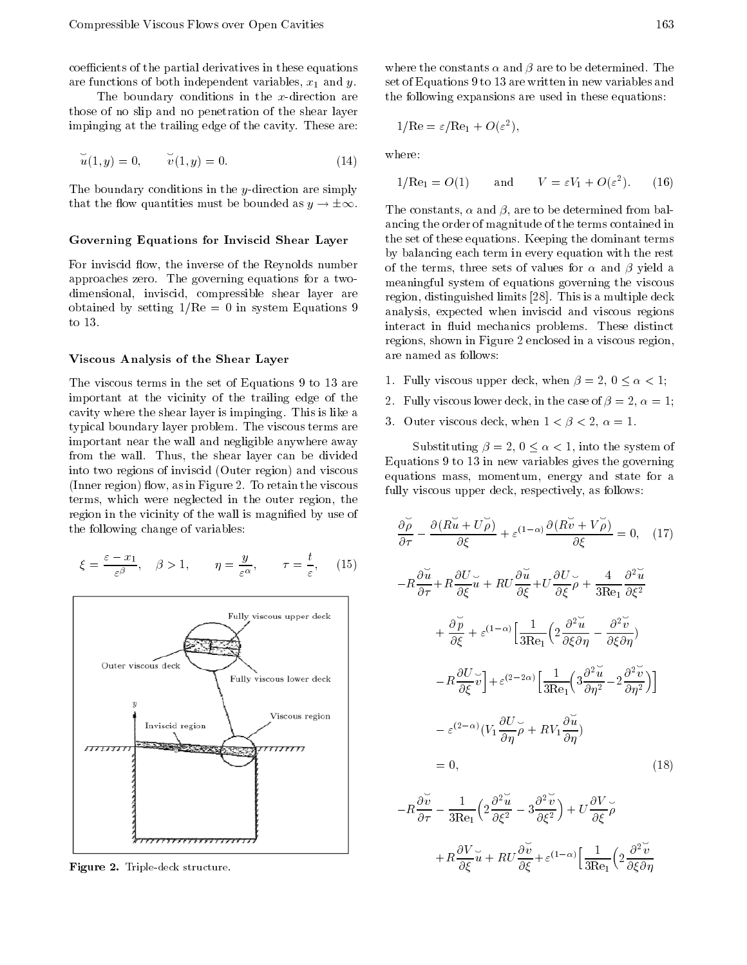coefficients of the partial derivatives in these equations are functions of both independent variables,  $x_1$  and  $y$ .

The boundary conditions in the  $x$ -direction are those of no slip and no penetration of the shear layer impinging at the trailing edge of the cavity. These are:

$$
\breve{u}(1, y) = 0, \quad \breve{v}(1, y) = 0. \tag{14}
$$

The boundary conditions in the  $\psi$ -direction are simply that the flow quantities must be bounded as  $y \to \pm \infty$ .

### Governing Equations for Inviscid Shear Layer

For inviscid flow, the inverse of the Reynolds number approaches zero. The governing equations for <sup>a</sup> twodimensional, inviscid, compressible shear layer are obtained by setting  $1/Re = 0$  in system Equations 9 to 13.

#### Viscous Analysis of the Shear Layer

The viscous terms in the set of Equations 9 to 13 are important at the vicinity of the trailing edge of the cavity where the shear layer is impinging. This is like a typical boundary layer problem. The viscous terms are important near the wall and negligible anywhere away from the wall. Thus, the shear layer can be divided into two regions of inviscid (Outer region) and viscous  $(Inner region)$  flow, as in Figure 2. To retain the viscous terms, which were neglected in the outer region, the region in the vicinity of the wall is magnified by use of the following change of variables:

$$
\xi = \frac{\varepsilon x_1}{\varepsilon^{\beta}}, \quad \beta > 1, \qquad \eta = \frac{y}{\varepsilon^{\alpha}}, \qquad \tau = \frac{t}{\varepsilon}, \quad (15)
$$



Figure 2. Triple-deck structure.

where the constants  $\alpha$  and  $\beta$  are to be determined. The set of Equations 9 to 13 are written in new variables and the following expansions are used in these equations:

$$
1/\text{Re} = \varepsilon/\text{Re}_1 + O(\varepsilon^2),
$$

where:

$$
1/Re_1 = O(1)
$$
 and  $V = \varepsilon V_1 + O(\varepsilon^2)$ . (16)

The constants,  $\alpha$  and  $\beta$ , are to be determined from balancing the order of magnitude of the terms contained in the set of these equations. Keeping the dominant terms by balancing each term in every equation with the rest of the terms, three sets of values for  $\alpha$  and  $\beta$  yield a meaningful system of equations governing the viscous region, distinguished limits [28]. This is a multiple deck analysis, expected when inviscid and viscous regions interact in fluid mechanics problems. These distinct regions, shown in Figure 2 enclosed in a viscous region, are named as follows:

- 1. Fully viscous upper deck, when  $\beta = 2, 0 \leq \alpha < 1$ ;
- 2. Fully viscous lower deck, in the case of  $\beta = 2, \alpha = 1;$
- 3. Outer viscous deck, when  $1 < \beta < 2$ ,  $\alpha = 1$ .

Substituting  $\beta = 2, 0 \leq \alpha < 1$ , into the system of Equations 9 to 13 in new variables gives the governing equations mass, momentum, energy and state for <sup>a</sup> fully viscous upper deck, respectively, as follows:

$$
\frac{\partial \overline{\rho}}{\partial \tau} \quad \frac{\partial (R\breve{u} + U\breve{\rho})}{\partial \xi} + \varepsilon^{(1-\alpha)} \frac{\partial (R\breve{v} + V\breve{\rho})}{\partial \xi} = 0, \quad (17)
$$
\n
$$
R\frac{\partial \breve{u}}{\partial \tau} + R\frac{\partial U}{\partial \xi} \breve{u} + RU\frac{\partial \breve{u}}{\partial \xi} + U\frac{\partial U}{\partial \xi} \breve{\rho} + \frac{4}{3\text{Re}_1} \frac{\partial^2 \breve{u}}{\partial \xi^2} + \frac{\partial \breve{p}}{\partial \xi} + \varepsilon^{(1-\alpha)} \Big[ \frac{1}{3\text{Re}_1} \Big( 2 \frac{\partial^2 \breve{u}}{\partial \xi \partial \eta} \quad \frac{\partial^2 \breve{v}}{\partial \xi \partial \eta} \Big)
$$
\n
$$
R\frac{\partial U}{\partial \xi} \breve{v} \Big] + \varepsilon^{(2-2\alpha)} \Big[ \frac{1}{3\text{Re}_1} \Big( 3 \frac{\partial^2 \breve{u}}{\partial \eta^2} \quad 2 \frac{\partial^2 \breve{v}}{\partial \eta^2} \Big) \Big]
$$
\n
$$
\varepsilon^{(2-\alpha)} (V_1 \frac{\partial U}{\partial \eta} \breve{\rho} + RV_1 \frac{\partial \breve{u}}{\partial \eta})
$$
\n
$$
= 0, \quad (18)
$$

$$
R \frac{\partial \breve{v}}{\partial \tau} = \frac{1}{3 \text{Re}_1} \left( 2 \frac{\partial^2 \breve{u}}{\partial \xi^2} - 3 \frac{\partial^2 \breve{v}}{\partial \xi^2} \right) + U \frac{\partial V}{\partial \xi} \breve{\rho}
$$
  
+
$$
R \frac{\partial V}{\partial \xi} \breve{u} + RU \frac{\partial \breve{v}}{\partial \xi} + \varepsilon^{(1-\alpha)} \left[ \frac{1}{3 \text{Re}_1} \left( 2 \frac{\partial^2 \breve{v}}{\partial \xi \partial \eta} \right) \right]
$$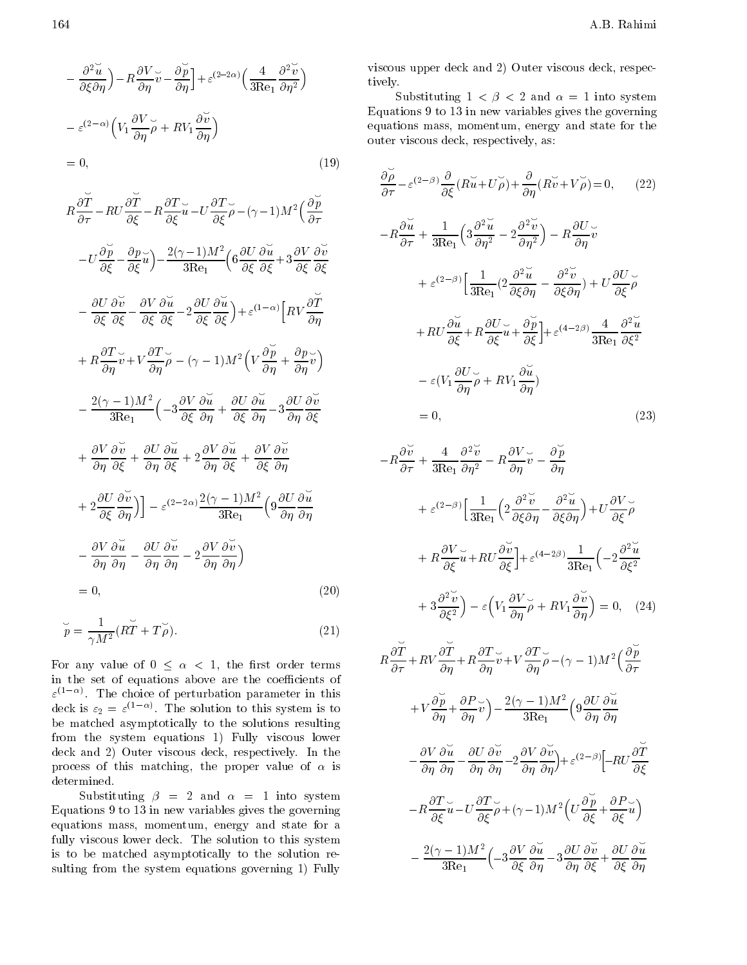$$
\frac{\partial^2 \breve{u}}{\partial \xi \partial \eta} \Big) \quad R \frac{\partial V}{\partial \eta} \breve{v} \quad \frac{\partial \breve{p}}{\partial \eta} \Big] + \varepsilon^{(2-2\alpha)} \Big( \frac{4}{3 \text{Re}_1} \frac{\partial^2 \breve{v}}{\partial \eta^2} \Big)
$$

$$
\varepsilon^{(2-\alpha)} \Big( V_1 \frac{\partial V}{\partial \eta} \breve{\rho} + R V_1 \frac{\partial \breve{v}}{\partial \eta} \Big)
$$

 $\sim$  0; (19)  $\sim$  0; (19)  $\sim$  1; (19)  $\sim$  1; (19)  $\sim$  1; (19)  $\sim$  1; (19)  $\sim$  1; (19)  $\sim$  1; (19)  $\sim$  1; (19)  $\sim$  1; (19)  $\sim$  1; (19)  $\sim$  1; (19)  $\sim$  1; (19)  $\sim$  1; (19)  $\sim$  1; (19)  $\sim$  1; (19)  $\sim$  1; (19)

$$
R\frac{\partial \overline{T}}{\partial \tau} RU \frac{\partial \overline{T}}{\partial \xi} R \frac{\partial T}{\partial \xi} \overline{u} U \frac{\partial T}{\partial \xi} \overline{\rho} (\gamma 1) M^2 \left(\frac{\partial \overline{p}}{\partial \tau}\right)
$$
  
\n
$$
U \frac{\partial \overline{p}}{\partial \xi} \frac{\partial p}{\partial \xi} \overline{u} \right) \frac{2(\gamma 1) M^2}{3 \text{Re}_1} \left( 6 \frac{\partial U}{\partial \xi} \frac{\partial \overline{u}}{\partial \xi} + 3 \frac{\partial V}{\partial \xi} \frac{\partial \overline{v}}{\partial \xi} \right)
$$
  
\n
$$
\frac{\partial U}{\partial \xi} \frac{\partial \overline{v}}{\partial \xi} \frac{\partial V}{\partial \xi} \frac{\partial \overline{u}}{\partial \xi} 2 \frac{\partial U}{\partial \xi} \frac{\partial \overline{u}}{\partial \xi} + \varepsilon^{(1-\alpha)} \left[ R V \frac{\partial \overline{T}}{\partial \eta} \right]
$$
  
\n
$$
+ R \frac{\partial T}{\partial \eta} \overline{v} + V \frac{\partial T}{\partial \eta} \overline{\rho} (\gamma 1) M^2 \left( V \frac{\partial \overline{p}}{\partial \eta} + \frac{\partial p}{\partial \eta} \overline{v} \right)
$$
  
\n
$$
\frac{2(\gamma 1) M^2}{3 \text{Re}_1} \left( 3 \frac{\partial V}{\partial \xi} \frac{\partial \overline{u}}{\partial \eta} + \frac{\partial U}{\partial \xi} \frac{\partial \overline{u}}{\partial \eta} 3 \frac{\partial U}{\partial \eta} \frac{\partial \overline{v}}{\partial \xi}
$$
  
\n
$$
+ \frac{\partial V}{\partial \eta} \frac{\partial \overline{v}}{\partial \xi} + \frac{\partial U}{\partial \eta} \frac{\partial \overline{u}}{\partial \xi} + 2 \frac{\partial V}{\partial \eta} \frac{\partial \overline{u}}{\partial \xi} + \frac{\partial V}{\partial \xi} \frac{\partial \overline{v}}{\partial \eta}
$$
  
\n
$$
+ 2 \frac{\partial U}{\partial \xi} \frac{\partial \overline{v}}{\partial \eta} \right) \left[ \varepsilon^{(2-2\alpha)} \frac{2(\gamma 1) M^2}{3 \text{Re
$$

$$
\breve{p} = \frac{1}{\gamma M^2} (R\breve{T} + T\breve{\rho}).\tag{21}
$$

For any value of  $0 \leq \alpha \leq 1$ , the first order terms in the set of equations above are the coefficients of " (1 ) . The choice of perturbation parameter in this deck is  $\varepsilon_2 = \varepsilon^{n_1}$ . The solution to this system is to be matched asymptotically to the solutions resulting from the system equations 1) Fully viscous lower deck and 2) Outer viscous deck, respectively. In the process of this matching, the proper value of  $\alpha$  is determined.

Substituting  $\beta = 2$  and  $\alpha = 1$  into system Equations 9 to 13 in new variables gives the governing equations mass, momentum, energy and state for <sup>a</sup> fully viscous lower deck. The solution to this system is to be matched asymptotically to the solution resulting from the system equations governing 1) Fully

viscous upper deck and 2) Outer viscous deck, respectively.

Substituting  $1 \lt \beta \lt 2$  and  $\alpha = 1$  into system Equations 9 to 13 in new variables gives the governing equations mass, momentum, energy and state for the outer viscous deck, respectively, as:

$$
\frac{\partial \rho}{\partial \tau} \varepsilon^{(2-\beta)} \frac{\partial}{\partial \xi} (R\breve{u} + U\breve{\rho}) + \frac{\partial}{\partial \eta} (R\breve{v} + V\breve{\rho}) = 0, \qquad (22)
$$
\n
$$
R\frac{\partial \breve{u}}{\partial \tau} + \frac{1}{3\text{Re}_1} \left( 3\frac{\partial^2 \breve{u}}{\partial \eta^2} - 2\frac{\partial^2 \breve{v}}{\partial \eta^2} \right) \qquad R\frac{\partial U}{\partial \eta} \breve{v}
$$
\n
$$
+ \varepsilon^{(2-\beta)} \left[ \frac{1}{3\text{Re}_1} (2\frac{\partial^2 \breve{u}}{\partial \xi \partial \eta} - \frac{\partial^2 \breve{v}}{\partial \xi \partial \eta} \right) + U\frac{\partial U}{\partial \xi} \breve{\rho}
$$
\n
$$
+ RU\frac{\partial \breve{u}}{\partial \xi} + R\frac{\partial U}{\partial \xi} \breve{u} + \frac{\partial \breve{\rho}}{\partial \xi} \right] + \varepsilon^{(4-2\beta)} \frac{4}{3\text{Re}_1} \frac{\partial^2 \breve{u}}{\partial \xi^2}
$$
\n
$$
\varepsilon (V_1 \frac{\partial U}{\partial \eta} \breve{\rho} + RV_1 \frac{\partial \breve{u}}{\partial \eta})
$$
\n
$$
= 0, \qquad (23)
$$

$$
R\frac{\partial \breve{v}}{\partial \tau} + \frac{4}{3\text{Re}_1} \frac{\partial^2 \breve{v}}{\partial \eta^2} + R\frac{\partial V}{\partial \eta} \breve{v} + \frac{\partial \breve{p}}{\partial \eta}
$$
  
+  $\varepsilon^{(2-\beta)} \Big[ \frac{1}{3\text{Re}_1} \Big( 2 \frac{\partial^2 \breve{v}}{\partial \xi \partial \eta} + \frac{\partial^2 \breve{u}}{\partial \xi \partial \eta} \Big) + U \frac{\partial V}{\partial \xi} \breve{\rho}$   
+  $R \frac{\partial V}{\partial \xi} \breve{u} + RU \frac{\partial \breve{v}}{\partial \xi} \Big] + \varepsilon^{(4-2\beta)} \frac{1}{3\text{Re}_1} \Big( 2 \frac{\partial^2 \breve{u}}{\partial \xi^2} + 3 \frac{\partial^2 \breve{v}}{\partial \xi^2} \Big) + \varepsilon^{(4-2\beta)} \frac{1}{3\text{Re}_1} \Big( 2 \frac{\partial^2 \breve{u}}{\partial \xi^2} + 3 \frac{\partial^2 \breve{v}}{\partial \xi^2} \Big) + \varepsilon^{(4-2\beta)} \frac{1}{\partial \eta} \breve{\rho} + RV \frac{\partial \breve{v}}{\partial \eta} \Big) = 0, \quad (24)$   
 $R \frac{\partial \breve{T}}{\partial \tau} + RV \frac{\partial \breve{T}}{\partial \eta} + R \frac{\partial T}{\partial \eta} \breve{v} + V \frac{\partial T}{\partial \eta} \breve{\rho} + ( \gamma - 1) M^2 \Big( \frac{\partial \breve{v}}{\partial \tau} + V \frac{\partial \breve{v}}{\partial \eta} \Big) + \varepsilon^{(2-\beta)} \Big[ R U \frac{\partial \breve{v}}{\partial \xi} + V \frac{\partial \breve{v}}{\partial \eta} \frac{\partial \breve{u}}{\partial \eta} \frac{\partial \breve{v}}{\partial \eta} + \varepsilon^{(2-\beta)} \Big[ R U \frac{\partial \breve{T}}{\partial \xi} \frac{\partial \breve{v}}{\partial \xi} \frac{\partial \breve{u}}{\partial \eta} \frac{\partial \breve{v}}{\partial \eta} + V \frac{\partial \breve{T}}{\partial \xi} \frac{\partial \breve{v}}{\partial \eta} \frac{\partial \breve{v}}{\partial \$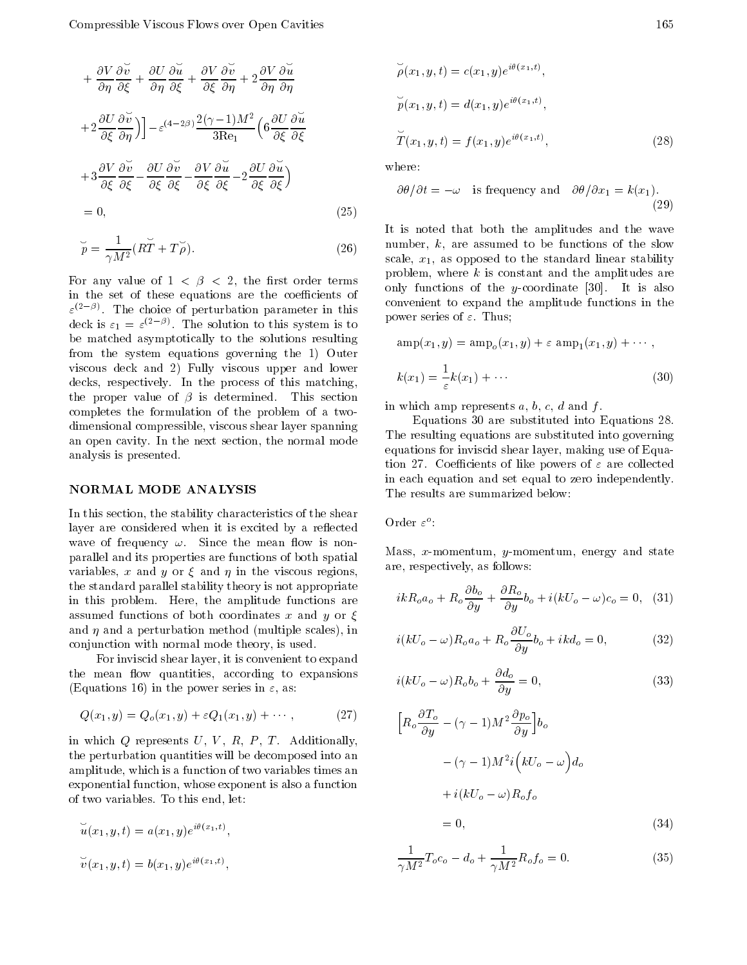$$
+\frac{\partial V}{\partial \eta} \frac{\partial \breve{v}}{\partial \xi} + \frac{\partial U}{\partial \eta} \frac{\partial \breve{u}}{\partial \xi} + \frac{\partial V}{\partial \xi} \frac{\partial \breve{v}}{\partial \eta} + 2 \frac{\partial V}{\partial \eta} \frac{\partial \breve{u}}{\partial \eta}
$$
  
+2 $\frac{\partial U}{\partial \xi} \frac{\partial \breve{v}}{\partial \eta}$ )  $\Big]_{\varepsilon} = (4 - 2\beta) \frac{2(\gamma - 1)M^2}{3\text{Re}_1} \Big( 6 \frac{\partial U}{\partial \xi} \frac{\partial \breve{u}}{\partial \xi}$   
+3 $\frac{\partial V}{\partial \xi} \frac{\partial \breve{v}}{\partial \xi} + \frac{\partial U}{\partial \xi} \frac{\partial \breve{v}}{\partial \xi} + \frac{\partial V}{\partial \xi} \frac{\partial \breve{u}}{\partial \xi} + 2 \frac{\partial U}{\partial \xi} \frac{\partial \breve{u}}{\partial \xi}$   
= 0, (25)

$$
\breve{p} = \frac{1}{\gamma M^2} (R\breve{T} + T\breve{\rho}). \tag{26}
$$

For any value of  $1 \leq \beta \leq 2$ , the first order terms in the set of these equations are the coefficients of  $\varepsilon \in \mathbb{R}$ , the choice of perturbation parameter in this deck is  $\varepsilon_1 = \varepsilon$ . The solution to this system is to be matched asymptotically to the solutions resulting from the system equations governing the 1) Outer viscous deck and 2) Fully viscous upper and lower decks, respectively. In the process of this matching, the proper value of  $\beta$  is determined. This section completes the formulation of the problem of <sup>a</sup> twodimensional compressible, viscous shear layer spanning an open cavity. In the next section, the normal mode analysis is presented.

### NORMAL MODE ANALYSIS

In this section, the stability characteristics of the shear layer are considered when it is excited by a reflected wave of frequency  $\omega$ . Since the mean flow is nonparallel and its properties are functions of both spatial variables, x and y or  $\xi$  and  $\eta$  in the viscous regions, the standard parallel stability theory is not appropriate in this problem. Here, the amplitude functions are assumed functions of both coordinates x and y or  $\xi$ and  $\eta$  and a perturbation method (multiple scales), in conjunction with normal mode theory, is used.

For inviscid shear layer, it is convenient to expand the mean flow quantities, according to expansions (Equations 16) in the power series in  $\varepsilon$ , as:

$$
Q(x_1, y) = Q_o(x_1, y) + \varepsilon Q_1(x_1, y) + \cdots, \qquad (27)
$$

in which  $Q$  represents  $U, V, R, P, T$ . Additionally, the perturbation quantities will be decomposed into an amplitude, which is a function of two variables times an exponential function, whose exponent is also a function of two variables. To this end, let:

$$
\widetilde{u}(x_1, y, t) = a(x_1, y)e^{i\theta(x_1, t)},
$$

$$
\widetilde{v}(x_1, y, t) = b(x_1, y)e^{i\theta(x_1, t)},
$$

$$
\widetilde{\rho}(x_1, y, t) = c(x_1, y)e^{i\theta(x_1, t)},
$$
  
\n
$$
\widetilde{p}(x_1, y, t) = d(x_1, y)e^{i\theta(x_1, t)},
$$
  
\n
$$
\widetilde{T}(x_1, y, t) = f(x_1, y)e^{i\theta(x_1, t)},
$$
\n(28)

where:

$$
\partial \theta / \partial t = \omega
$$
 is frequency and  $\partial \theta / \partial x_1 = k(x_1)$ . (29)

It is noted that both the amplitudes and the wave number, k, are assumed to be functions of the slow scale,  $x_1$ , as opposed to the standard linear stability problem, where  $k$  is constant and the amplitudes are only functions of the y-coordinate  $[30]$ . It is also convenient to expand the amplitude functions in the power series of  $\varepsilon$ . Thus;

$$
\operatorname{amp}(x_1, y) = \operatorname{amp}_o(x_1, y) + \varepsilon \operatorname{amp}_1(x_1, y) + \cdots,
$$
  

$$
k(x_1) = \frac{1}{\varepsilon}k(x_1) + \cdots
$$
 (30)

in which amp represents  $a, b, c, d$  and  $f$ .

Equations <sup>30</sup> are substituted into Equations 28. The resulting equations are substituted into governing equations for inviscid shear layer, making use of Equation 27. Coefficients of like powers of  $\varepsilon$  are collected in each equation and set equal to zero independently. The results are summarized below:

 $O(10^{10})$ 

Mass, x-momentum, y-momentum, energy and state are, respectively, as follows:

$$
ikR_0a_0 + R_o \frac{\partial b_o}{\partial y} + \frac{\partial R_o}{\partial y}b_o + i(kU_o \quad \omega)c_o = 0, \quad (31)
$$

$$
i(kU_o \quad \omega)R_o a_o + R_o \frac{\partial U_o}{\partial y} b_o + ik d_o = 0, \tag{32}
$$

$$
i(kU_o \t \omega)R_o b_o + \frac{\partial d_o}{\partial y} = 0,
$$
\t(33)

$$
\left[R_o \frac{\partial T_o}{\partial y} \quad (\gamma \quad 1)M^2 \frac{\partial p_o}{\partial y}\right] b_o
$$

$$
(\gamma \quad 1)M^2 i \left(kU_o \quad \omega\right) d_o
$$

$$
+ i(kU_o \quad \omega)R_o f_o
$$

$$
= 0. \tag{34}
$$

$$
\frac{1}{\gamma M^2} T_o c_o \quad d_o + \frac{1}{\gamma M^2} R_o f_o = 0.
$$
 (35)

 $\sim$  0; (34)  $\sim$  0; (34)  $\sim$  0; (34)  $\sim$  0; (34)  $\sim$  0; (34)  $\sim$  0; (34)  $\sim$  0; (34)  $\sim$  0; (34)  $\sim$  0; (34)  $\sim$  0; (34)  $\sim$  0; (34)  $\sim$  0; (34)  $\sim$  0; (34)  $\sim$  0; (34)  $\sim$  0; (34)  $\sim$  0; (34)  $\sim$  0; (34)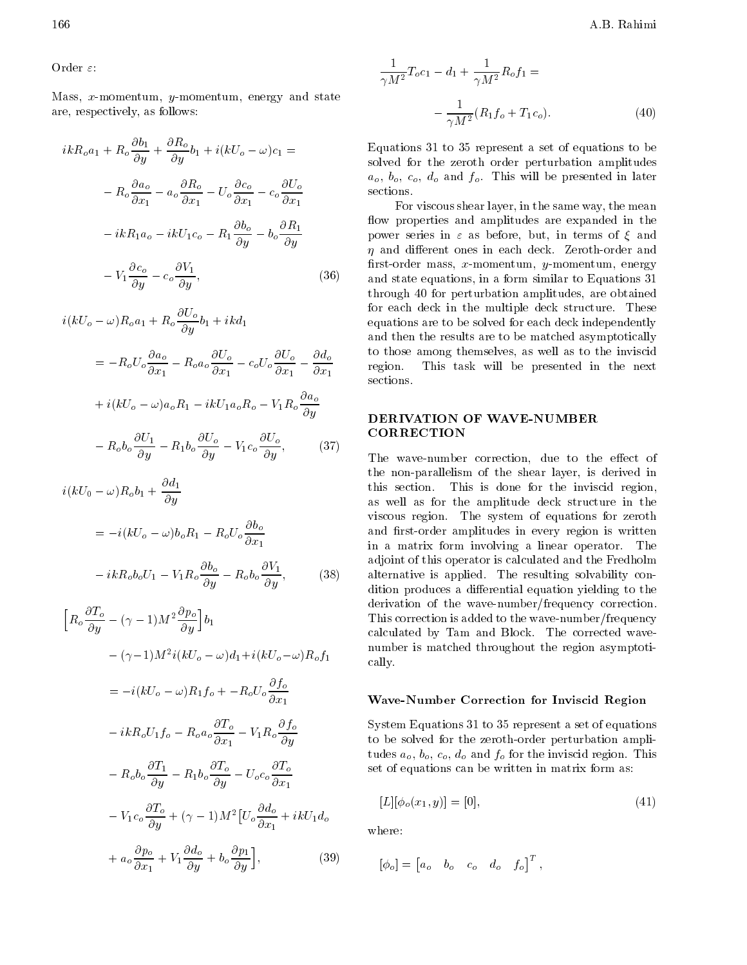Order  $\varepsilon$ :

Mass, x-momentum, y-momentum, energy and state are, respectively, as follows:

$$
ikR_o a_1 + R_o \frac{\partial b_1}{\partial y} + \frac{\partial R_o}{\partial y} b_1 + i(kU_o \quad \omega) c_1 =
$$
  
\n
$$
R_o \frac{\partial a_o}{\partial x_1} \quad a_o \frac{\partial R_o}{\partial x_1} \quad U_o \frac{\partial c_o}{\partial x_1} \quad c_o \frac{\partial U_o}{\partial x_1} \quad \text{so}
$$
  
\n
$$
ikR_1 a_o \quad ikU_1 c_o \quad R_1 \frac{\partial b_o}{\partial y} \quad b_o \frac{\partial R_1}{\partial y} \quad \text{f}
$$
  
\n
$$
V_1 \frac{\partial c_o}{\partial y} \quad c_o \frac{\partial V_1}{\partial y}, \quad (36)
$$

 $i(kU_o \quad \omega)R_o a_1 + R_o \frac{1}{\partial y} b_1 + ikd_1$ 

$$
= R_o U_o \frac{\partial a_o}{\partial x_1} \qquad R_o a_o \frac{\partial U_o}{\partial x_1} \qquad c_o U_o \frac{\partial U_o}{\partial x_1} \qquad \frac{\partial d_o}{\partial x_1}
$$

$$
+ i(kU_o \qquad \omega) a_o R_1 \qquad ikU_1 a_o R_o \qquad V_1 R_o \frac{\partial a_o}{\partial y}
$$

$$
R_o b_o \frac{\partial U_1}{\partial y} \qquad R_1 b_o \frac{\partial U_o}{\partial y} \qquad V_1 c_o \frac{\partial U_o}{\partial y}, \qquad (37)
$$

$$
i(kU_0 \t \omega)R_o b_1 + \frac{\partial d_1}{\partial y} \t\t t1
$$
  
\n
$$
= i(kU_o \t \omega) b_o R_1 \t R_o U_o \frac{\partial b_o}{\partial x_1} \t\t v
$$
  
\n
$$
ikR_o b_o U_1 \t V_1 R_o \frac{\partial b_o}{\partial y} \t\t R_o b_o \frac{\partial V_1}{\partial y}, \t\t (38) \t a
$$

$$
\begin{aligned}\n\left[R_o \frac{\partial T_o}{\partial y} \quad (\gamma \quad 1) M^2 \frac{\partial p_o}{\partial y}\right] b_1 & \text{T} \\
(\gamma \quad 1) M^2 i (kU_o \quad \omega) d_1 + i (kU_o \quad \omega) R_o f_1 & \text{n} \\
= i (kU_o \quad \omega) R_1 f_o + R_o U_o \frac{\partial f_o}{\partial x_1} & \text{V} \\
ikR_o U_1 f_o \quad R_o a_o \frac{\partial T_o}{\partial x_1} \quad V_1 R_o \frac{\partial f_o}{\partial y} & \text{s} \\
R_o b_o \frac{\partial T_1}{\partial y} \quad R_1 b_o \frac{\partial T_o}{\partial y} \quad U_o c_o \frac{\partial T_o}{\partial x_1} & \text{s} \\
V_1 c_o \frac{\partial T_o}{\partial y} + (\gamma \quad 1) M^2 \left[U_o \frac{\partial d_o}{\partial x_1} + ikU_1 d_o\right] & \text{n} \\
+ a_o \frac{\partial p_o}{\partial x_1} + V_1 \frac{\partial d_o}{\partial y} + b_o \frac{\partial p_1}{\partial y}\right], \n\end{aligned}
$$
\n(39)

$$
\frac{1}{\gamma M^2} T_o c_1 \quad d_1 + \frac{1}{\gamma M^2} R_o f_1 =
$$
\n
$$
\frac{1}{\gamma M^2} (R_1 f_o + T_1 c_o).
$$
\n(40)

Equations 31 to 35 represent a set of equations to be solved for the zeroth order perturbation amplitudes  $a_o, b_o, c_o, d_o$  and  $f_o$ . This will be presented in later sections.

For viscous shear layer, in the same way, the mean flow properties and amplitudes are expanded in the power series in  $\varepsilon$  as before, but, in terms of  $\xi$  and  $\eta$  and different ones in each deck. Zeroth-order and first-order mass,  $x$ -momentum,  $y$ -momentum, energy and state equations, in a form similar to Equations 31 through <sup>40</sup> for perturbation amplitudes, are obtained for each deck in the multiple deck structure. These equations are to be solved for each deck independently and then the results are to be matched asymptotically to those among themselves, as well as to the inviscid region. This task will be presented in the next sections.

# CORRECTION

The wave-number correction, due to the effect of the non-parallelism of the shear layer, is derived in this section. This is done for the inviscid region, as well as for the amplitude deck structure in the viscous region. The system of equations for zeroth and first-order amplitudes in every region is written in <sup>a</sup> matrix form involving <sup>a</sup> linear operator. The adjoint of this operator is calculated and the Fredholm alternative is applied. The resulting solvability condition produces a differential equation yielding to the derivation of the wave-number/frequency correction. This correction is added to the wave-number/frequency calculated by Tam and Block. The corrected wavenumber is matched throughout the region asymptotically.

### Wave-Number Correction for Inviscid Region

System Equations 31 to 35 represent a set of equations to be solved for the zeroth-order perturbation amplitudes  $a_o$ ,  $b_o$ ,  $c_o$ ,  $d_o$  and  $f_o$  for the inviscid region. This set of equations can be written in matrix form as:

$$
[L][\phi_o(x_1, y)] = [0],\tag{41}
$$

where:

$$
[\phi_o] = [a_o \quad b_o \quad c_o \quad d_o \quad f_o]^T,
$$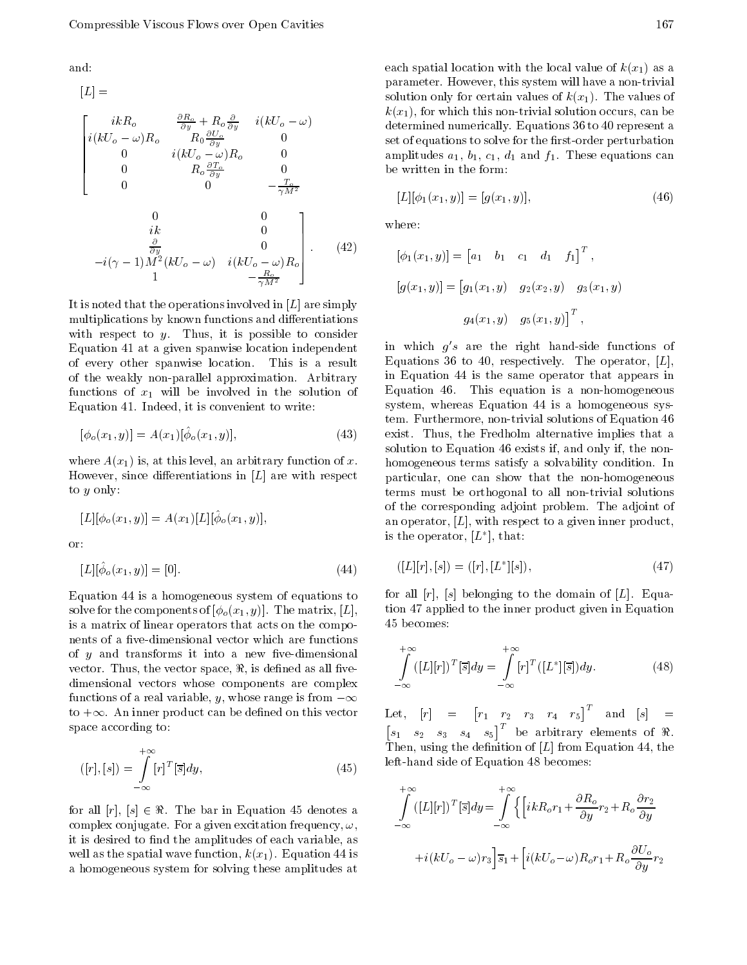and:

$$
[L] =
$$
  
\n
$$
\begin{bmatrix}\ni kR_o & \frac{\partial R_o}{\partial y} + R_o \frac{\partial}{\partial y} & i(kU_o & \omega) & k \\
i(kU_o & \omega)R_o & R_0 \frac{\partial U_o}{\partial y} & 0 & \text{se} \\
0 & i(kU_o & \omega)R_o & 0 & \text{a} \\
0 & R_o \frac{\partial T_o}{\partial y} & 0 & \text{b} \\
0 & 0 & 0 & \frac{T_o}{\gamma M^2} \\
0 & i(kU_o & \omega) & i(kU_o & \omega)R_o\n\end{bmatrix}
$$
  
\n
$$
i(\gamma - 1)M^2(kU_o & \omega) i(kU_o & \omega)R_o
$$
  
\n
$$
i(\gamma - 1) \frac{\partial}{\partial y} (kU_o & \omega) i(kU_o & \omega)R_o
$$
  
\n
$$
i(\gamma - 1) \frac{\partial}{\partial y} (kU_o & \omega) i(kU_o & \omega)R_o
$$
  
\n(42)

It is noted that the operations involved in  $[L]$  are simply multiplications by known functions and differentiations with respect to  $y$ . Thus, it is possible to consider Equation 41 at a given spanwise location independent of every other spanwise location. This is <sup>a</sup> result of the weakly non-parallel approximation. Arbitrary functions of  $x_1$  will be involved in the solution of Equation 41. Indeed, it is convenient to write:

$$
[\phi_o(x_1, y)] = A(x_1)[\hat{\phi}_o(x_1, y)], \tag{43}
$$

where  $A(x_1)$  is, at this level, an arbitrary function of x. However, since differentiations in  $[L]$  are with respect to <sup>y</sup> only:

$$
[L][\phi_o(x_1, y)] = A(x_1)[L][\hat{\phi}_o(x_1, y)],
$$
  
or:

Equation 44 is a homogeneous system of equations to solve for the components of  $[\phi_o(x_1, y)]$ . The matrix, [L], is a matrix of linear operators that acts on the components of a five-dimensional vector which are functions of  $y$  and transforms it into a new five-dimensional vector. Thus, the vector space,  $\Re$ , is defined as all fivedimensional vectors whose components are complex functions of a real variable, y, whose range is from  $\infty$ to  $+\infty$ . An inner product can be defined on this vector space according to:

 $|L| |\psi_{0}(x_1, y)| = |0|$ . (44)

$$
([r],[s]) = \int_{-\infty}^{+\infty} [r]^T [\overline{s}] dy, \tag{45}
$$

for all  $[r]$ ,  $[s] \in \Re$ . The bar in Equation 45 denotes a complex conjugate. For a given excitation frequency,  $\omega$ , it is desired to find the amplitudes of each variable, as well as the spatial wave function,  $k(x_1)$ . Equation 44 is a homogeneous system for solving these amplitudes at

each spatial location with the local value of  $k(x_1)$  as a parameter. However, this system will have a non-trivial solution only for certain values of  $k(x_1)$ . The values of  $k(x_1)$ , for which this non-trivial solution occurs, can be determined numerically. Equations 36 to 40 represent a set of equations to solve for the first-order perturbation amplitudes  $a_1$ ,  $b_1$ ,  $c_1$ ,  $d_1$  and  $f_1$ . These equations can be written in the form:

$$
[L][\phi_1(x_1, y)] = [g(x_1, y)], \qquad (46)
$$

where:

$$
[\phi_1(x_1, y)] = [a_1 \quad b_1 \quad c_1 \quad d_1 \quad f_1]^T,
$$
  

$$
[g(x_1, y)] = [g_1(x_1, y) \quad g_2(x_2, y) \quad g_3(x_1, y)]
$$
  

$$
g_4(x_1, y) \quad g_5(x_1, y)]^T,
$$

in which  $g's$  are the right hand-side functions of Equations 36 to 40, respectively. The operator,  $[L]$ , in Equation <sup>44</sup> is the same operator that appears in Equation 46. This equation is <sup>a</sup> non-homogeneous system, whereas Equation <sup>44</sup> is <sup>a</sup> homogeneous system. Furthermore, non-trivial solutions of Equation 46 exist. Thus, the Fredholm alternative implies that <sup>a</sup> solution to Equation 46 exists if, and only if, the nonhomogeneous terms satisfy a solvability condition. In particular, one can show that the non-homogeneous terms must be orthogonal to all non-trivial solutions of the corresponding adjoint problem. The adjoint of an operator,  $[L]$ , with respect to a given inner product, is the operator,  $|L|$ , that:

$$
([L][r], [s]) = ([r], [L^*][s]), \tag{47}
$$

for all  $[r]$ ,  $[s]$  belonging to the domain of  $[L]$ . Equation 47 applied to the inner product given in Equation <sup>45</sup> becomes:

$$
\int_{-\infty}^{+\infty} ([L][r])^T [\overline{s}] dy = \int_{-\infty}^{+\infty} [r]^T ([L^*][\overline{s}]) dy.
$$
 (48)

Let, [r] <sup>=</sup> Let,  $[r] = \begin{bmatrix} r_1 & r_2 & r_3 & r_4 & r_5 \end{bmatrix}^T$  and  $[s] = \begin{bmatrix} s_1 & s_2 & s_3 & s_4 & s_5 \end{bmatrix}^T$  be arbitrary elements of  $\Re$ . Then, using the definition of  $[L]$  from Equation 44, the left-hand side of Equation 48 becomes:

$$
\int_{-\infty}^{+\infty} ([L][r])^T [\bar{s}] dy = \int_{-\infty}^{+\infty} \left\{ \left[ ikR_o r_1 + \frac{\partial R_o}{\partial y} r_2 + R_o \frac{\partial r_2}{\partial y} + i(kU_o - \omega) r_3 \right] \bar{s}_1 + \left[ i(kU_o - \omega) R_o r_1 + R_o \frac{\partial U_o}{\partial y} r_2 \right] \right\}
$$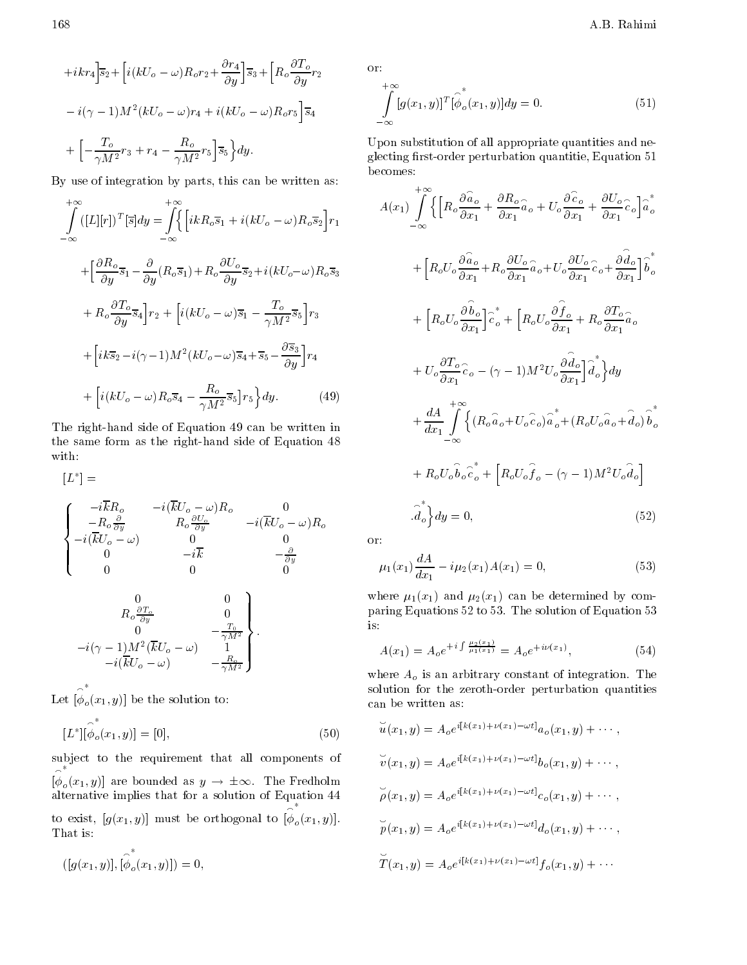$$
+ikr_4\overline{\smash{\big)}\,} \overline{s}_2 + \left[i(kU_o - \omega)R_o r_2 + \frac{\partial r_4}{\partial y}\right] \overline{s}_3 + \left[R_o \frac{\partial T_o}{\partial y} r_2\right]
$$
\n
$$
i(\gamma - 1)M^2(kU_o - \omega)r_4 + i(kU_o - \omega)R_o r_5\right] \overline{s}_4
$$
\n
$$
+ \left[\begin{array}{cc} \frac{T_o}{\gamma M^2}r_3 + r_4 & \frac{R_o}{\gamma M^2}r_5\right] \overline{s}_5\end{array}\right\} dy.
$$

By use of integration by parts, this can be written as:

$$
\int_{-\infty}^{+\infty} ([L][r])^{T} [\bar{s}] dy = \int_{-\infty}^{+\infty} \left\{ \left[ ikR_{o}\bar{s}_{1} + i(kU_{o} - \omega)R_{o}\bar{s}_{2} \right] r_{1} \right.
$$

$$
+ \left[ \frac{\partial R_{o}}{\partial y} \bar{s}_{1} - \frac{\partial}{\partial y} (R_{o}\bar{s}_{1}) + R_{o} \frac{\partial U_{o}}{\partial y} \bar{s}_{2} + i(kU_{o} - \omega)R_{o}\bar{s}_{3} \right.
$$

$$
+ R_{o} \frac{\partial T_{o}}{\partial y} \bar{s}_{4} \right] r_{2} + \left[ i(kU_{o} - \omega) \bar{s}_{1} - \frac{T_{o}}{\gamma M^{2}} \bar{s}_{5} \right] r_{3}
$$

$$
+ \left[ ik\bar{s}_{2} - i(\gamma - 1)M^{2}(kU_{o} - \omega) \bar{s}_{4} + \bar{s}_{5} - \frac{\partial \bar{s}_{3}}{\partial y} \right] r_{4}
$$

$$
+ \left[ i(kU_{o} - \omega)R_{o}\bar{s}_{4} - \frac{R_{o}}{\gamma M^{2}} \bar{s}_{5} \right] r_{5} \right\} dy. \tag{49}
$$

The right-hand side of Equation 49 can be written in the same form as the right-hand side of Equation <sup>48</sup> with:

$$
\begin{aligned} \begin{bmatrix} L^* \end{bmatrix} &= \\ \begin{cases} \begin{array}{ccc} i\overline{k}R_o & i(\overline{k}U_o & \omega)R_o & 0 \\ R_o \frac{\partial}{\partial y} & R_o \frac{\partial U_o}{\partial y} & i(\overline{k}U_o & \omega)R_o \\ i(\overline{k}U_o & \omega) & 0 & 0 \\ 0 & i\overline{k} & \frac{\partial}{\partial y} \\ 0 & 0 & 0 \end{array} \\ \begin{array}{ccc} 0 & 0 & 0 \\ R_o \frac{\partial T_o}{\partial y} & 0 \\ 0 & i(\overline{k}U_o & \omega) & 1 \\ i(\overline{k}U_o & \omega) & \frac{R_o}{\gamma M^2} \end{array} \end{cases}, \end{aligned}
$$

Let  $[\phi(x_1, y)]$  be  $\overline{O(x)}$  if you be the solution to:

$$
[L^*][\hat{\phi}_o(x_1, y)] = [0], \tag{50}
$$

subject to the requirement that all components of  $[\phi_{\alpha}(x_1,y)]$  as  $\overline{O}$  are bounded as  $\overline{O}$  . The Fredholm as y is the Fredholm as y is the Fredholm as  $\overline{O}$ alternative implies that for a solution  $\mathbf{f}$ to exist,  $[g(x_1, y)]$  must be orthogonal to  $[\phi_o(x_1, y)]$ .  $\overline{O}$  (\* 1)  $\overline{O}$  /]. That is:

$$
([g(x_1, y)], [\hat{\phi}^*_{o}(x_1, y)]) = 0,
$$

or:

$$
\int_{-\infty}^{+\infty} [g(x_1, y)]^T [\hat{\phi}_o(x_1, y)] dy = 0.
$$
\n(51)

Upon substitution of all appropriate quantities and neglecting first-order perturbation quantitie, Equation 51 becomes:

$$
A(x_1) \int_{-\infty}^{+\infty} \left\{ \left[ R_o \frac{\partial \hat{a}_o}{\partial x_1} + \frac{\partial R_o}{\partial x_1} \hat{a}_o + U_o \frac{\partial \hat{c}_o}{\partial x_1} + \frac{\partial U_o}{\partial x_1} \hat{c}_o \right] \hat{a}_o \right\}
$$
  
+ 
$$
\left[ R_o U_o \frac{\partial \hat{a}_o}{\partial x_1} + R_o \frac{\partial U_o}{\partial x_1} \hat{a}_o + U_o \frac{\partial U_o}{\partial x_1} \hat{c}_o + \frac{\partial \hat{d}_o}{\partial x_1} \right] \hat{b}_o^*
$$
  
+ 
$$
\left[ R_o U_o \frac{\partial \hat{b}_o}{\partial x_1} \right] \hat{c}_o^* + \left[ R_o U_o \frac{\partial \hat{f}_o}{\partial x_1} + R_o \frac{\partial T_o}{\partial x_1} \hat{a}_o \right]
$$
  
+ 
$$
U_o \frac{\partial T_o}{\partial x_1} \hat{c}_o \quad (\gamma \quad 1) M^2 U_o \frac{\partial \hat{d}_o}{\partial x_1} \right] \hat{d}_o^* \right\} dy
$$
  
+ 
$$
\frac{dA}{dx_1} \int_{-\infty}^{+\infty} \left\{ (R_o \hat{a}_o + U_o \hat{c}_o) \hat{a}_o^* + (R_o U_o \hat{a}_o + \hat{d}_o) \hat{b}_o \right\}
$$
  
+ 
$$
R_o U_o \hat{b}_o \hat{c}_o^* + \left[ R_o U_o \hat{f}_o \quad (\gamma \quad 1) M^2 U_o \hat{d}_o \right]
$$
  

$$
\cdot \hat{d}_o^* \right\} dy = 0,
$$
 (52)

or:

$$
\mu_1(x_1)\frac{dA}{dx_1} \quad i\mu_2(x_1)A(x_1) = 0,\tag{53}
$$

where  $\mu_1(x_1)$  and  $\mu_2(x_1)$  can be determined by comparing Equations 52 to 53. The solution of Equation 53 is:

$$
A(x_1) = A_o e^{+i \int \frac{\mu_2(x_1)}{\mu_1(x_1)}} = A_o e^{+i\nu(x_1)}, \tag{54}
$$

where  $A_o$  is an arbitrary constant of integration. The solution for the zeroth-order perturbation quantities can be written as:

$$
\widetilde{u}(x_1, y) = A_o e^{i[k(x_1) + \nu(x_1) - \omega t]} a_o(x_1, y) + \cdots ,
$$
  

$$
\widetilde{v}(x_1, y) = A_o e^{i[k(x_1) + \nu(x_1) - \omega t]} b_o(x_1, y) + \cdots ,
$$
  

$$
\widetilde{\rho}(x_1, y) = A_o e^{i[k(x_1) + \nu(x_1) - \omega t]} c_o(x_1, y) + \cdots ,
$$
  

$$
\widetilde{p}(x_1, y) = A_o e^{i[k(x_1) + \nu(x_1) - \omega t]} d_o(x_1, y) + \cdots ,
$$
  

$$
\widetilde{T}(x_1, y) = A_o e^{i[k(x_1) + \nu(x_1) - \omega t]} f_o(x_1, y) + \cdots
$$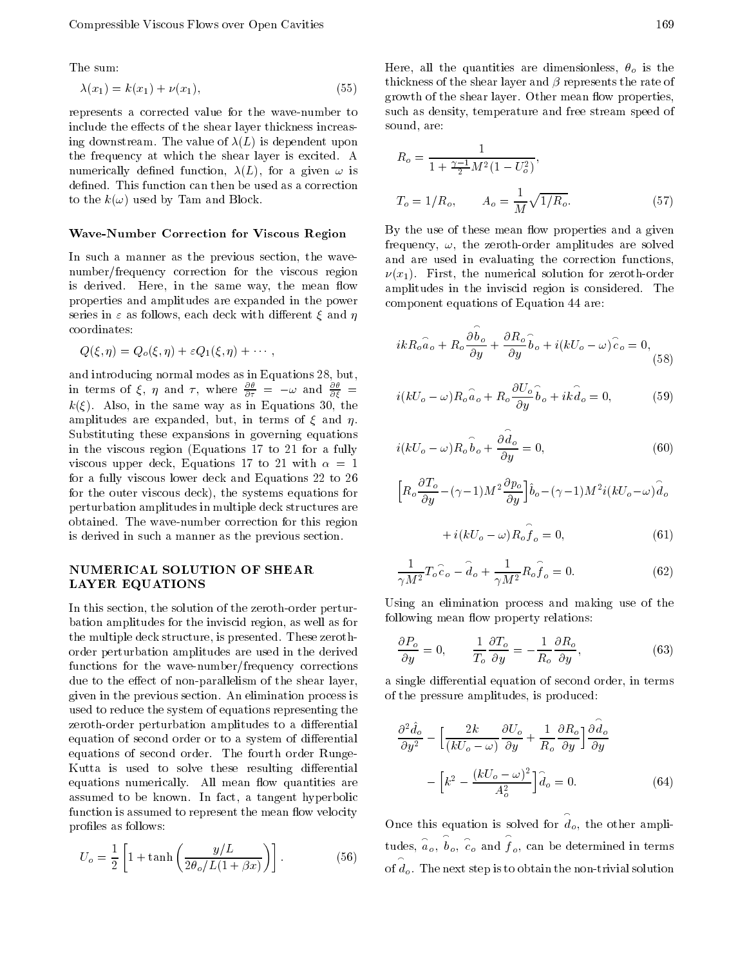The sum:

$$
\lambda(x_1) = k(x_1) + \nu(x_1),\tag{55}
$$

represents <sup>a</sup> corrected value for the wave-number to include the effects of the shear layer thickness increasing downstream. The value of  $\lambda(L)$  is dependent upon the frequency at which the shear layer is excited. <sup>A</sup> numerically defined function,  $\lambda(L)$ , for a given  $\omega$  is defined. This function can then be used as a correction to the  $k(\omega)$  used by Tam and Block.

#### Wave-Number Correction for Viscous Region

In such a manner as the previous section, the wavenumber/frequency correction for the viscous region is derived. Here, in the same way, the mean flow properties and amplitudes are expanded in the power series in  $\varepsilon$  as follows, each deck with different  $\xi$  and  $\eta$ coordinates:

$$
Q(\xi,\eta)=Q_o(\xi,\eta)+\varepsilon Q_1(\xi,\eta)+\cdots,
$$

in terms of  $\xi$ ,  $\eta$  and  $\tau$ , where  $\frac{\partial \theta}{\partial \tau} = \omega$  and  $\frac{\partial \theta}{\partial \xi} = \omega$  $\mathcal{L}(\mathbf{x})$  . Also, in the same way as in Equations 30, the same  $\mathbf{x}$ amplitudes are expanded, but, in terms of  $\xi$  and  $\eta$ . Substituting these expansions in governing equations in the viscous region (Equations <sup>17</sup> to <sup>21</sup> for <sup>a</sup> fully viscous upper deck, Equations 17 to 21 with  $\alpha = 1$ for a fully viscous lower deck and Equations 22 to 26 for the outer viscous deck), the systems equations for perturbation amplitudes in multiple deck structures are obtained. The wave-number correction for this region is derived in such a manner as the previous section.

### NUMERICAL SOLUTION OF SHEAR LAYER EQUATIONS

In this section, the solution of the zeroth-order perturbation amplitudes for the inviscid region, as well as for the multiple deck structure, is presented. These zerothorder perturbation amplitudes are used in the derived functions for the wave-number/frequency corrections due to the effect of non-parallelism of the shear layer, given in the previous section. An elimination process is used to reduce the system of equations representing the zeroth-order perturbation amplitudes to a differential equation of second order or to a system of differential equations of second order. The fourth order Runge-Kutta is used to solve these resulting differential equations numerically. All mean flow quantities are assumed to be known. In fact, <sup>a</sup> tangent hyperbolic function is assumed to represent the mean flow velocity profiles as follows:

$$
U_o = \frac{1}{2} \left[ 1 + \tanh\left(\frac{y/L}{2\theta_o/L(1+\beta x)}\right) \right].
$$
 (56)

Here, all the quantities are dimensionless,  $\theta_o$  is the thickness of the shear layer and  $\beta$  represents the rate of growth of the shear layer. Other mean flow properties, such as density, temperature and free stream speed of sound, are:

$$
R_o = \frac{1}{1 + \frac{\gamma - 1}{2} M^2 (1 - U_o^2)},
$$
  
\n
$$
T_o = 1/R_o, \qquad A_o = \frac{1}{M} \sqrt{1/R_o}.
$$
\n(57)

By the use of these mean flow properties and a given frequency,  $\omega$ , the zeroth-order amplitudes are solved and are used in evaluating the correction functions,  $\nu(x_1)$ . First, the numerical solution for zeroth-order amplitudes in the inviscid region is considered. The component equations of Equation 44 are:

$$
ikR_o \hat{a}_o + R_o \frac{\partial \hat{b}_o}{\partial y} + \frac{\partial R_o}{\partial y} \hat{b}_o + i(kU_o \quad \omega) \hat{c}_o = 0,
$$
\n(58)

$$
i(kU_o \quad \omega)R_o \hat{a}_o + R_o \frac{\partial U_o}{\partial y} \hat{b}_o + ik \hat{d}_o = 0, \tag{59}
$$

$$
i(kU_o \t\omega) R_o \hat{b}_o + \frac{\partial d_o}{\partial y} = 0, \t(60)
$$

$$
\Big[R_o\frac{\partial T_o}{\partial y} \quad (\gamma -1)M^2\frac{\partial p_o}{\partial y}\Big]\hat{b}_o \quad (\gamma -1)M^2i(kU_o - \omega)\hat{d}_o
$$

$$
+ i(kU_o - \omega)R_o \hat{f}_o = 0, \qquad (61)
$$

$$
\frac{1}{\gamma M^2} T_o \hat{c}_o \quad \hat{d}_o + \frac{1}{\gamma M^2} R_o \hat{f}_o = 0.
$$
 (62)

Using an elimination process and making use of the following mean flow property relations:

$$
\frac{\partial P_o}{\partial y} = 0, \qquad \frac{1}{T_o} \frac{\partial T_o}{\partial y} = \frac{1}{R_o} \frac{\partial R_o}{\partial y}, \qquad (63)
$$

a single differential equation of second order, in terms of the pressure amplitudes, is produced:

$$
\frac{\partial^2 \hat{d}_o}{\partial y^2} \quad \left[ \frac{2k}{(kU_o - \omega)} \frac{\partial U_o}{\partial y} + \frac{1}{R_o} \frac{\partial R_o}{\partial y} \right] \frac{\partial \hat{d}_o}{\partial y}
$$

$$
\left[ k^2 \quad \frac{(kU_o - \omega)^2}{A_o^2} \right] \hat{d}_o = 0. \tag{64}
$$

Once this equation is solved for  $d_o$ , the other amplitudes,  $\hat{a}_o$ ,  $b_o$ ,  $\hat{c}_o$  and  $f_o$ , can be determined in terms of  $d_o$ . The next step is to obtain the non-trivial solution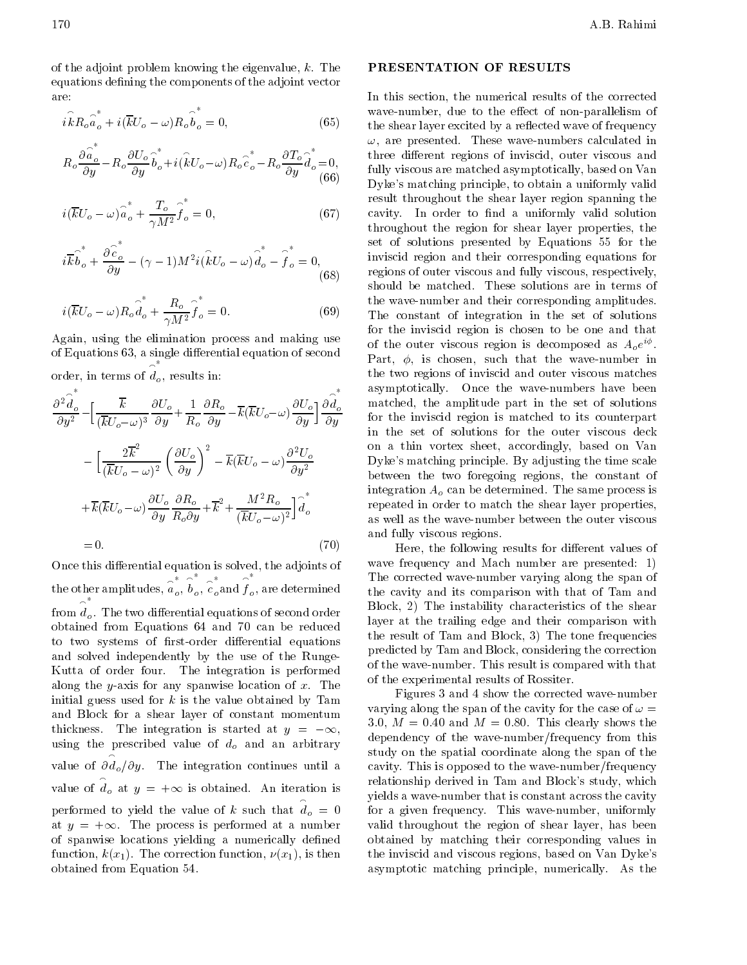of the adjoint problem knowing the eigenvalue,  $k$ . The equations defining the components of the adjoint vector are:

$$
i\hat{k}R_o\hat{a}_o^* + i(\overline{k}U_o - \omega)R_o\hat{b}_o^* = 0, \qquad (65)
$$

$$
R_o \frac{\partial \hat{a_o}}{\partial y}^* - R_o \frac{\partial U_o}{\partial y} \hat{b_o}^* + i(\hat{k}U_o \ \omega) R_o \hat{c_o}^* - R_o \frac{\partial T_o}{\partial y} \hat{d_o}^* = 0, \tag{66}
$$

$$
i(\overline{k}U_o - \omega)\hat{a}_o + \frac{T_o}{\gamma M^2}\hat{f}_o = 0, \tag{67}
$$

$$
i\overrightarrow{k}\widehat{b}_o^* + \frac{\partial \widehat{c}_o^*}{\partial y} \quad (\gamma \quad 1)M^2 i(\widehat{k}U_o \quad \omega) \widehat{d}_o^* \quad \widehat{f}_o^* = 0, \quad \text{in} \quad \text{res} \tag{68}
$$

$$
i(\overline{k}U_o \quad \omega)R_o \hat{d}_o^* + \frac{R_o}{\gamma M^2} \hat{f}_o^* = 0.
$$
 (69) t

Again, using the elimination process and making use of Equations 63, a single differential equation of second order, in terms of  $d_o$ , results in:

$$
\frac{\partial^2 \hat{d}_o}{\partial y^2} \left[ \frac{\overline{k}}{(\overline{k}U_o - \omega)^3} \frac{\partial U_o}{\partial y} + \frac{1}{R_o} \frac{\partial R_o}{\partial y} \right] \overline{k}(\overline{k}U_o - \omega) \frac{\partial U_o}{\partial y} \bigg] \frac{\partial \hat{d}_o}{\partial y} \quad \text{and} \quad \text{for} \quad \text{for} \quad \text{for} \quad \text{for} \quad \text{for} \quad \text{for} \quad \text{for} \quad \text{for} \quad \text{for} \quad \text{for} \quad \text{for} \quad \text{for} \quad \text{for} \quad \text{for} \quad \text{for} \quad \text{for} \quad \text{for} \quad \text{for} \quad \text{for} \quad \text{for} \quad \text{for} \quad \text{for} \quad \text{for} \quad \text{for} \quad \text{for} \quad \text{for} \quad \text{for} \quad \text{for} \quad \text{for} \quad \text{for} \quad \text{for} \quad \text{for} \quad \text{for} \quad \text{for} \quad \text{for} \quad \text{for} \quad \text{for} \quad \text{for} \quad \text{for} \quad \text{for} \quad \text{for} \quad \text{for} \quad \text{for} \quad \text{for} \quad \text{for} \quad \text{for} \quad \text{for} \quad \text{for} \quad \text{for} \quad \text{for} \quad \text{for} \quad \text{for} \quad \text{for} \quad \text{for} \quad \text{for} \quad \text{for} \quad \text{for} \quad \text{for} \quad \text{for} \quad \text{for} \quad \text{for} \quad \text{for} \quad \text{for} \quad \text{for} \quad \text{for} \quad \text{for} \quad \text{for} \quad \text{for} \quad \text{for} \quad \text{for} \quad \text{for} \quad \text{for} \quad \text{for} \quad \text{for} \quad \text{for} \quad \text{for} \quad \text{for} \quad \text{for} \quad \text{for} \quad \text{for} \quad \text{for} \quad \text{for} \quad \text{for} \quad \text{for} \quad \text{for} \quad \text{for} \quad \text{for} \quad \text{for} \quad \text{for} \quad \text{for}
$$

Once this dierential equation is solved, the adjoints of the other amplitudes,  $a_a, b_a, c_a$ ar  $_o$ ,  $b_o$ ,  $c_o$  and f  $_o, \, \widehat{\^{c}}_o, \text{and } \widehat{\overline{f}}_o, \, \text{and}$  $_{o}$  and  $f_{o}$ , are deter  $\alpha$ , and  $\alpha$ , and  $\alpha$ , and  $\alpha$ , and  $\alpha$  are determined as  $\alpha$ from the contract of the contract of the contract of the contract of the contract of the contract of the contract of the contract of the contract of the contract of the contract of the contract of the contract of the contr  $\alpha$  dierential equations of second order order order order order order order order order order order order order order order order order order order order order order order order order order order order order order order obtained from Equations <sup>64</sup> and <sup>70</sup> can be reduced to two systems of first-order differential equations and solved independently by the use of the Runge-Kutta of order four. The integration is performed along the y-axis for any spanwise location of  $x$ . The initial guess used for  $k$  is the value obtained by Tam and Block for <sup>a</sup> shear layer of constant momentum thickness. The integration is started at  $y = \infty$ , using the prescribed value of  $d_o$  and an arbitrary value of  $\partial d_o/\partial y$ . The integration continues until a cave value of  $d_o$  at  $y = +\infty$  is obtained. An iteration is performed to yield the value of k such that  $d_o = 0$  for a at  $y = +\infty$ . The process is performed at a number of spanwise locations yielding a numerically defined function,  $k(x_1)$ . The correction function,  $\nu(x_1)$ , is then obtained from Equation 54.

### PRESENTATION OF RESULTS

(bo) Dyke's matching principle, to obtain a uniformly valid  $\partial d_{\gamma}$  matched, the amplitude part in the set of solutions as as you the wave-numbers have been dependent to wave-numbers have been dependent of the wave-numbers have been In this section, the numerical results of the corrected wave-number, due to the effect of non-parallelism of the shear layer excited by a reflected wave of frequency  $\omega$ , are presented. These wave-numbers calculated in three different regions of inviscid, outer viscous and fully viscous are matched asymptotically, based on Van result throughout the shear layer region spanning the cavity. In order to find a uniformly valid solution throughout the region for shear layer properties, the set of solutions presented by Equations <sup>55</sup> for the inviscid region and their corresponding equations for regions of outer viscous and fully viscous, respectively, should be matched. These solutions are in terms of the wave-number and their corresponding amplitudes. The constant of integration in the set of solutions for the inviscid region is chosen to be one and that of the outer viscous region is decomposed as  $A_0e^{+\tau}$ . Part,  $\phi$ , is chosen, such that the wave-number in the two regions of inviscid and outer viscous matches for the inviscid region ismatched to its counterpart in the set of solutions for the outer viscous deck on <sup>a</sup> thin vortex sheet, accordingly, based on Van Dyke's matching principle. By adjusting the time scale between the two foregoing regions, the constant of integration  $A<sub>o</sub>$  can be determined. The same process is repeated in order to match the shear layer properties, as well as the wave-number between the outer viscous and fully viscous regions.

> Here, the following results for different values of wave frequency and Mach number are presented: 1) The corrected wave-number varying along the span of the cavity and its comparison with that of Tam and Block, 2) The instability characteristics of the shear layer at the trailing edge and their comparison with the result of Tam and Block, 3) The tone frequencies predicted by Tam and Block, considering the correction of the wave-number. This result is compared with that of the experimental results of Rossiter.

> Figures 3 and 4 show the corrected wave-number varying along the span of the cavity for the case of  $\omega =$ 3.0,  $M = 0.40$  and  $M = 0.80$ . This clearly shows the dependency of the wave-number/frequency from this study on the spatial coordinate along the span of the cavity. This is opposed to the wave-number/frequency relationship derived in Tam and Block's study, which yields a wave-number that is constant across the cavity for <sup>a</sup> given frequency. This wave-number, uniformly valid throughout the region of shear layer, has been obtained by matching their corresponding values in the inviscid and viscous regions, based on Van Dyke's asymptotic matching principle, numerically. As the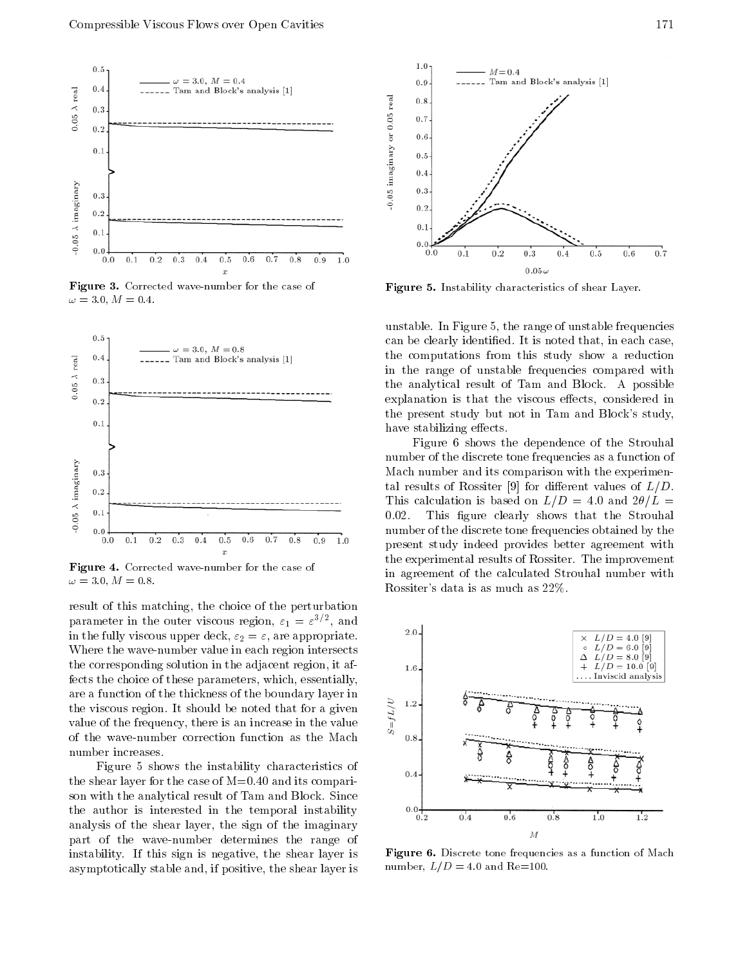

Figure 3. Corrected wave-number for the case of  $\omega = 3.0, M = 0.4.$ 



Figure 4. Corrected wave-number for the case of  $\omega = 3.0, M = 0.8.$ 

result of this matching, the choice of the perturbation parameter in the outer viscous region,  $\varepsilon_1 = \varepsilon$   $'$  , and in the fully viscous upper deck,  $\varepsilon_2 = \varepsilon$ , are appropriate. Where the wave-number value in each region intersects the corresponding solution in the adjacent region, it affects the choice of these parameters, which, essentially, are a function of the thickness of the boundary layer in<br>the viscous region. It should be noted that for a given<br>value of the frequency, there is an increase in the value the viscous region. It should be noted that for a given value of the frequency, there is an increase in the value of the wave-number correction function as the Mach number increases.

Figure <sup>5</sup> shows the instability characteristics of the shear layer for the case of  $M=0.40$  and its comparison with the analytical result of Tam and Block. Since the author is interested in the temporal instability  $0.0\frac{1}{0.2}$ analysis of the shear layer, the sign of the imaginary part of the wave-number determines the range of instability. If this sign is negative, the shear layer is asymptotically stable and, if positive, the shear layer is



Figure 5. Instability characteristics of shear Layer.

unstable. In Figure 5, the range of unstable frequencies can be clearly identied. It is noted that, in each case, the computations from this study show <sup>a</sup> reduction in the range of unstable frequencies compared with the analytical result of Tam and Block. A possible explanation is that the viscous effects, considered in the present study but not in Tam and Block's study, have stabilizing effects.

Figure <sup>6</sup> shows the dependence of the Strouhal number of the discrete tone frequencies as a function of Mach number and its comparison with the experimental results of Rossiter [9] for different values of  $L/D$ . This calculation is based on  $L/D = 4.0$  and  $2\theta/L =$ 0.02. This figure clearly shows that the Strouhal number of the discrete tone frequencies obtained by the present study indeed provides better agreement with the experimental results of Rossiter. The improvement in agreement of the calculated Strouhal number with Rossiter's data is as much as 22%.



Figure 6. Discrete tone frequencies as a function of Mach number,  $L/D=4.0$  and Re=100.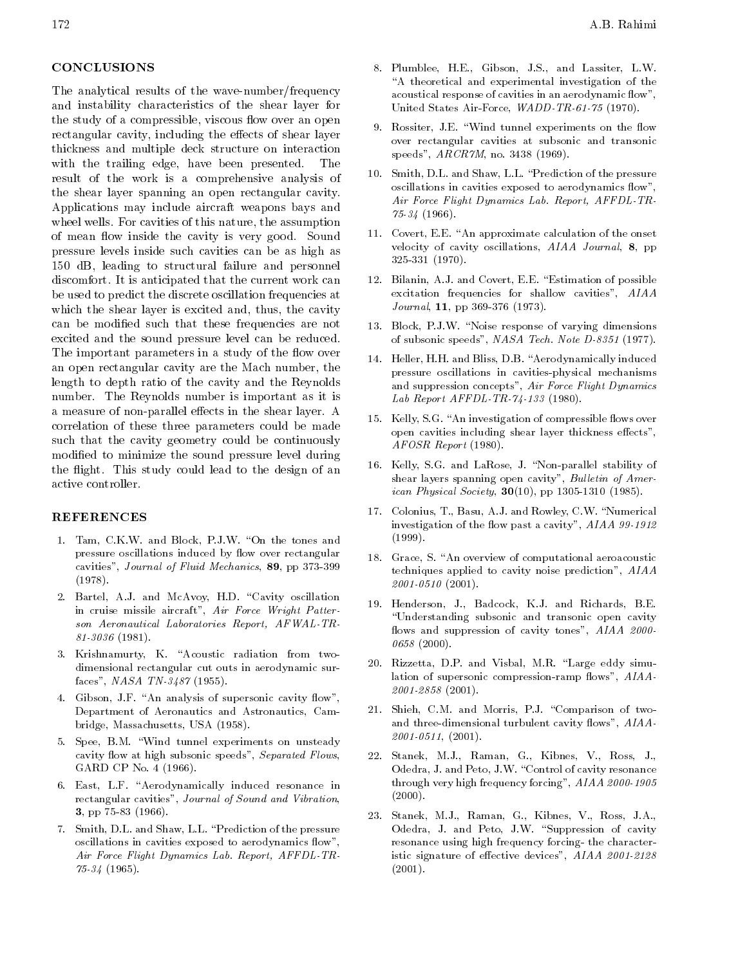### CONCLUSIONS

The analytical results of the wave-number/frequency and instability characteristics of the shear layer for the study of a compressible, viscous flow over an open rectangular cavity, including the effects of shear layer thickness and multiple deck structure on interaction with the trailing edge, have been presented.  $Th\epsilon$ result of the work is <sup>a</sup> comprehensive analysis of the shear layer spanning an open rectangular cavity. Applications may include aircraft weapons bays and wheel wells. For cavities of this nature, the assumption of mean flow inside the cavity is very good. Sound pressure levels inside such cavities can be as high as <sup>150</sup> dB, leading to structural failure and personnel discomfort. It is anticipated that the current work can be used to predict the discrete oscillation frequencies at which the shear layer is excited and, thus, the cavity can be modied such that these frequencies are not excited and the sound pressure level can be reduced. The important parameters in a study of the flow over an open rectangular cavity are the Mach number, the length to depth ratio of the cavity and the Reynolds number. The Reynolds number is important as it is a measure of non-parallel effects in the shear layer. A correlation of these three parameters could be made such that the cavity geometry could be continuously modied to minimize the sound pressure level during the flight. This study could lead to the design of an active controller.

### REFERENCES

- 1. Tam, C.K.W. and Block, P.J.W. "On the tones and pressure oscillations induced by flow over rectangular cavities", Journal of Fluid Mechanics, 89, pp 373-399 (1978).
- 2. Bartel, A.J. and McAvoy, H.D. "Cavity oscillation in cruise missile aircraft", Air Force Wright Patter son Aeronautical Laboratories Report, AFWAL-TR-81-3036 (1981).
- 3. Krishnamurty, K. "Acoustic radiation from twodimensional rectangular cut outs in aerodynamic surfaces", NASA TN-3487 (1955).
- 4. Gibson, J.F. "An analysis of supersonic cavity flow", Department of Aeronautics and Astronautics, Cambridge, Massachusetts, USA (1958).
- 5. Spee, B.M. \Wind tunnel experiments on unsteady cavity flow at high subsonic speeds", Separated Flows, GARD CP No. 4 (1966).
- 6. East, L.F. "Aerodynamically induced resonance in rectangular cavities", Journal of Sound and Vibration, 3, pp 75-83 (1966).
- 7. Smith, D.L. and Shaw, L.L. \Prediction of the pressure oscillations in cavities exposed to aerodynamics flow" Air Force Flight Dynamics Lab. Report, AFFDL-TR- $75-34$  (1965).
- 8. Plumblee, H.E., Gibson, J.S., and Lassiter, L.W. "A theoretical and experimental investigation of the acoustical response of cavities in an aerodynamic flow", United States Air-Force, WADD-TR-61-75 (1970).
- 9. Rossiter, J.E. "Wind tunnel experiments on the flow over rectangular cavities at subsonic and transonic speeds", ARCR7M, no. 3438 (1969).
- 10. Smith, D.L. and Shaw, L.L. \Prediction of the pressure oscillations in cavities exposed to aerodynamics flow", Air Force Flight Dynamics Lab. Report, AFFDL-TR-75-34 (1966).
- 11. Covert, E.E. "An approximate calculation of the onset velocity of cavity oscillations, AIAA Journal, 8, pp 325-331 (1970).
- 12. Bilanin, A.J. and Covert, E.E. "Estimation of possible excitation frequencies for shallow cavities", AIAA Journal, 11, pp 369-376 (1973).
- 13. Block, P.J.W. "Noise response of varying dimensions of subsonic speeds", NASA Tech. Note D-8351 (1977).
- 14. Heller, H.H. and Bliss, D.B. "Aerodynamically induced pressure oscillations in cavities-physical mechanisms and suppression concepts", Air Force Flight Dynamics Lab Report AFFDL-TR-74-133 (1980).
- 15. Kelly, S.G. "An investigation of compressible flows over open cavities including shear layer thickness effects", AFOSR Report (1980).
- 16. Kelly, S.G. and LaRose, J. \Non-parallel stability of shear layers spanning open cavity", Bulletin of Amer*ican Physical Society*, **30**(10), pp 1305-1310 (1985).
- 17. Colonius, T., Basu, A.J. and Rowley, C.W. "Numerical investigation of the flow past a cavity",  $AIAA$  99-1912 (1999).
- 18. Grace, S. "An overview of computational aeroacoustic techniques applied to cavity noise prediction", AIAA 2001-0510 (2001).
- 19. Henderson, J., Badcock, K.J. and Richards, B.E. \Understanding subsonic and transonic open cavity flows and suppression of cavity tones", AIAA 2000-<sup>0658</sup> (2000).
- 20. Rizzetta, D.P. and Visbal, M.R. "Large eddy simulation of supersonic compression-ramp flows", AIAA-2001-2858 (2001).
- 21. Shieh, C.M. and Morris, P.J. \Comparison of twoand three-dimensional turbulent cavity flows", AIAA- $2001-0511$ ,  $(2001)$ .
- 22. Stanek, M.J., Raman, G., Kibnes, V., Ross, J., Odedra, J. and Peto, J.W. "Control of cavity resonance through very high frequency forcing", AIAA 2000-1905  $(2000)$ .
- 23. Stanek, M.J., Raman, G., Kibnes, V., Ross, J.A., Odedra, J. and Peto, J.W. "Suppression of cavity resonance using high frequency forcing- the characteristic signature of effective devices", AIAA 2001-2128 (2001).